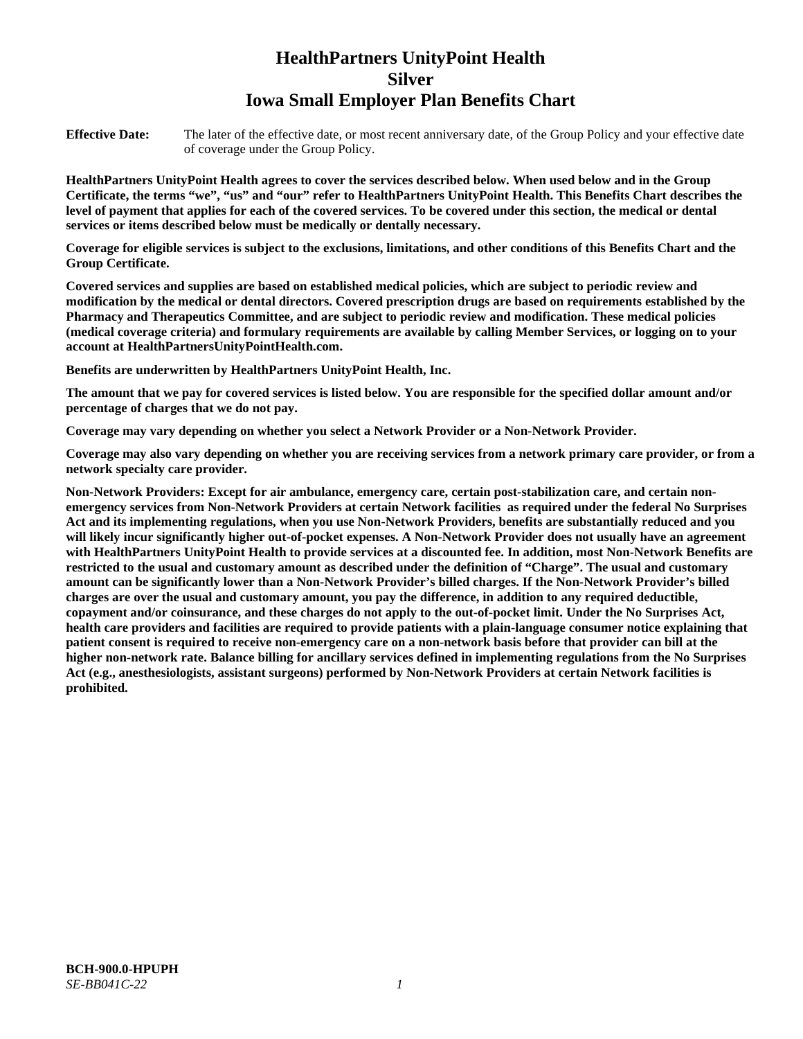# **HealthPartners UnityPoint Health Silver Iowa Small Employer Plan Benefits Chart**

**Effective Date:** The later of the effective date, or most recent anniversary date, of the Group Policy and your effective date of coverage under the Group Policy.

**HealthPartners UnityPoint Health agrees to cover the services described below. When used below and in the Group Certificate, the terms "we", "us" and "our" refer to HealthPartners UnityPoint Health. This Benefits Chart describes the level of payment that applies for each of the covered services. To be covered under this section, the medical or dental services or items described below must be medically or dentally necessary.**

**Coverage for eligible services is subject to the exclusions, limitations, and other conditions of this Benefits Chart and the Group Certificate.** 

**Covered services and supplies are based on established medical policies, which are subject to periodic review and modification by the medical or dental directors. Covered prescription drugs are based on requirements established by the Pharmacy and Therapeutics Committee, and are subject to periodic review and modification. These medical policies (medical coverage criteria) and formulary requirements are available by calling Member Services, or logging on to your account at [HealthPartnersUnityPointHealth.com.](https://www.healthpartnersunitypointhealth.com/)**

**Benefits are underwritten by HealthPartners UnityPoint Health, Inc.**

**The amount that we pay for covered services is listed below. You are responsible for the specified dollar amount and/or percentage of charges that we do not pay.**

**Coverage may vary depending on whether you select a Network Provider or a Non-Network Provider.**

**Coverage may also vary depending on whether you are receiving services from a network primary care provider, or from a network specialty care provider.**

**Non-Network Providers: Except for air ambulance, emergency care, certain post-stabilization care, and certain nonemergency services from Non-Network Providers at certain Network facilities as required under the federal No Surprises Act and its implementing regulations, when you use Non-Network Providers, benefits are substantially reduced and you will likely incur significantly higher out-of-pocket expenses. A Non-Network Provider does not usually have an agreement with HealthPartners UnityPoint Health to provide services at a discounted fee. In addition, most Non-Network Benefits are restricted to the usual and customary amount as described under the definition of "Charge". The usual and customary amount can be significantly lower than a Non-Network Provider's billed charges. If the Non-Network Provider's billed charges are over the usual and customary amount, you pay the difference, in addition to any required deductible, copayment and/or coinsurance, and these charges do not apply to the out-of-pocket limit. Under the No Surprises Act, health care providers and facilities are required to provide patients with a plain-language consumer notice explaining that patient consent is required to receive non-emergency care on a non-network basis before that provider can bill at the higher non-network rate. Balance billing for ancillary services defined in implementing regulations from the No Surprises Act (e.g., anesthesiologists, assistant surgeons) performed by Non-Network Providers at certain Network facilities is prohibited.**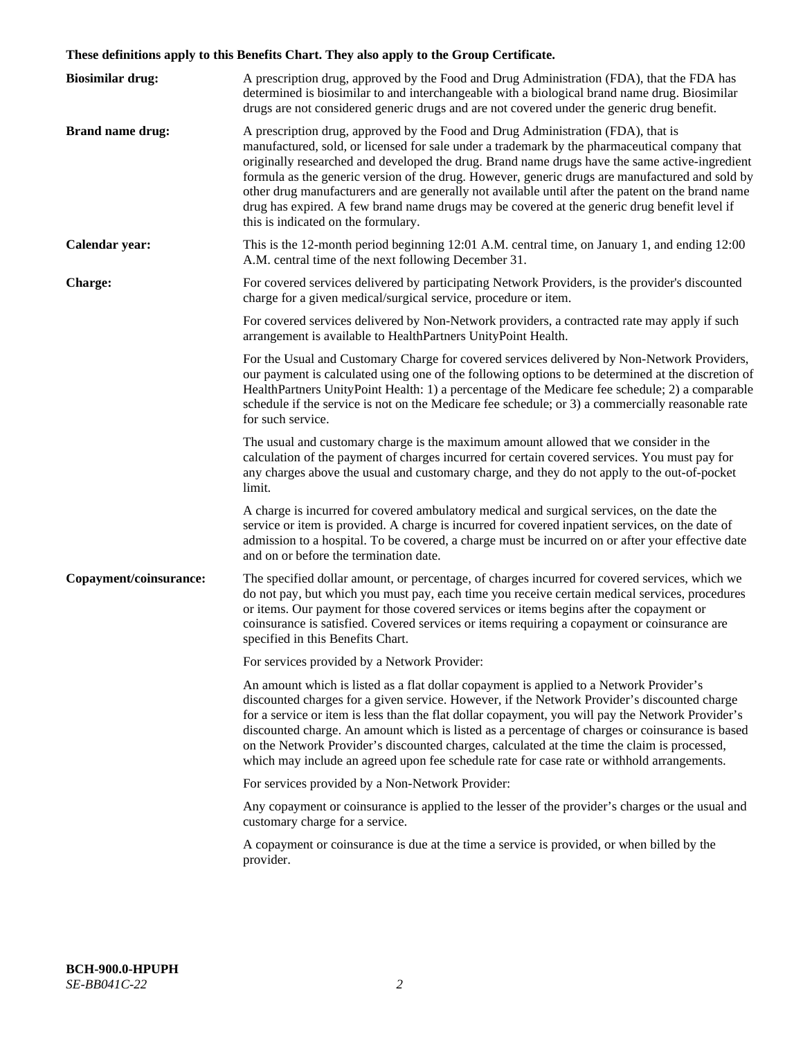# **These definitions apply to this Benefits Chart. They also apply to the Group Certificate.**

| <b>Biosimilar drug:</b> | A prescription drug, approved by the Food and Drug Administration (FDA), that the FDA has<br>determined is biosimilar to and interchangeable with a biological brand name drug. Biosimilar<br>drugs are not considered generic drugs and are not covered under the generic drug benefit.                                                                                                                                                                                                                                                                                                                                           |
|-------------------------|------------------------------------------------------------------------------------------------------------------------------------------------------------------------------------------------------------------------------------------------------------------------------------------------------------------------------------------------------------------------------------------------------------------------------------------------------------------------------------------------------------------------------------------------------------------------------------------------------------------------------------|
| <b>Brand name drug:</b> | A prescription drug, approved by the Food and Drug Administration (FDA), that is<br>manufactured, sold, or licensed for sale under a trademark by the pharmaceutical company that<br>originally researched and developed the drug. Brand name drugs have the same active-ingredient<br>formula as the generic version of the drug. However, generic drugs are manufactured and sold by<br>other drug manufacturers and are generally not available until after the patent on the brand name<br>drug has expired. A few brand name drugs may be covered at the generic drug benefit level if<br>this is indicated on the formulary. |
| Calendar year:          | This is the 12-month period beginning 12:01 A.M. central time, on January 1, and ending 12:00<br>A.M. central time of the next following December 31.                                                                                                                                                                                                                                                                                                                                                                                                                                                                              |
| <b>Charge:</b>          | For covered services delivered by participating Network Providers, is the provider's discounted<br>charge for a given medical/surgical service, procedure or item.                                                                                                                                                                                                                                                                                                                                                                                                                                                                 |
|                         | For covered services delivered by Non-Network providers, a contracted rate may apply if such<br>arrangement is available to HealthPartners UnityPoint Health.                                                                                                                                                                                                                                                                                                                                                                                                                                                                      |
|                         | For the Usual and Customary Charge for covered services delivered by Non-Network Providers,<br>our payment is calculated using one of the following options to be determined at the discretion of<br>HealthPartners UnityPoint Health: 1) a percentage of the Medicare fee schedule; 2) a comparable<br>schedule if the service is not on the Medicare fee schedule; or 3) a commercially reasonable rate<br>for such service.                                                                                                                                                                                                     |
|                         | The usual and customary charge is the maximum amount allowed that we consider in the<br>calculation of the payment of charges incurred for certain covered services. You must pay for<br>any charges above the usual and customary charge, and they do not apply to the out-of-pocket<br>limit.                                                                                                                                                                                                                                                                                                                                    |
|                         | A charge is incurred for covered ambulatory medical and surgical services, on the date the<br>service or item is provided. A charge is incurred for covered inpatient services, on the date of<br>admission to a hospital. To be covered, a charge must be incurred on or after your effective date<br>and on or before the termination date.                                                                                                                                                                                                                                                                                      |
| Copayment/coinsurance:  | The specified dollar amount, or percentage, of charges incurred for covered services, which we<br>do not pay, but which you must pay, each time you receive certain medical services, procedures<br>or items. Our payment for those covered services or items begins after the copayment or<br>coinsurance is satisfied. Covered services or items requiring a copayment or coinsurance are<br>specified in this Benefits Chart.                                                                                                                                                                                                   |
|                         | For services provided by a Network Provider:                                                                                                                                                                                                                                                                                                                                                                                                                                                                                                                                                                                       |
|                         | An amount which is listed as a flat dollar copayment is applied to a Network Provider's<br>discounted charges for a given service. However, if the Network Provider's discounted charge<br>for a service or item is less than the flat dollar copayment, you will pay the Network Provider's<br>discounted charge. An amount which is listed as a percentage of charges or coinsurance is based<br>on the Network Provider's discounted charges, calculated at the time the claim is processed,<br>which may include an agreed upon fee schedule rate for case rate or withhold arrangements.                                      |
|                         | For services provided by a Non-Network Provider:                                                                                                                                                                                                                                                                                                                                                                                                                                                                                                                                                                                   |
|                         | Any copayment or coinsurance is applied to the lesser of the provider's charges or the usual and<br>customary charge for a service.                                                                                                                                                                                                                                                                                                                                                                                                                                                                                                |
|                         | A copayment or coinsurance is due at the time a service is provided, or when billed by the<br>provider.                                                                                                                                                                                                                                                                                                                                                                                                                                                                                                                            |
|                         |                                                                                                                                                                                                                                                                                                                                                                                                                                                                                                                                                                                                                                    |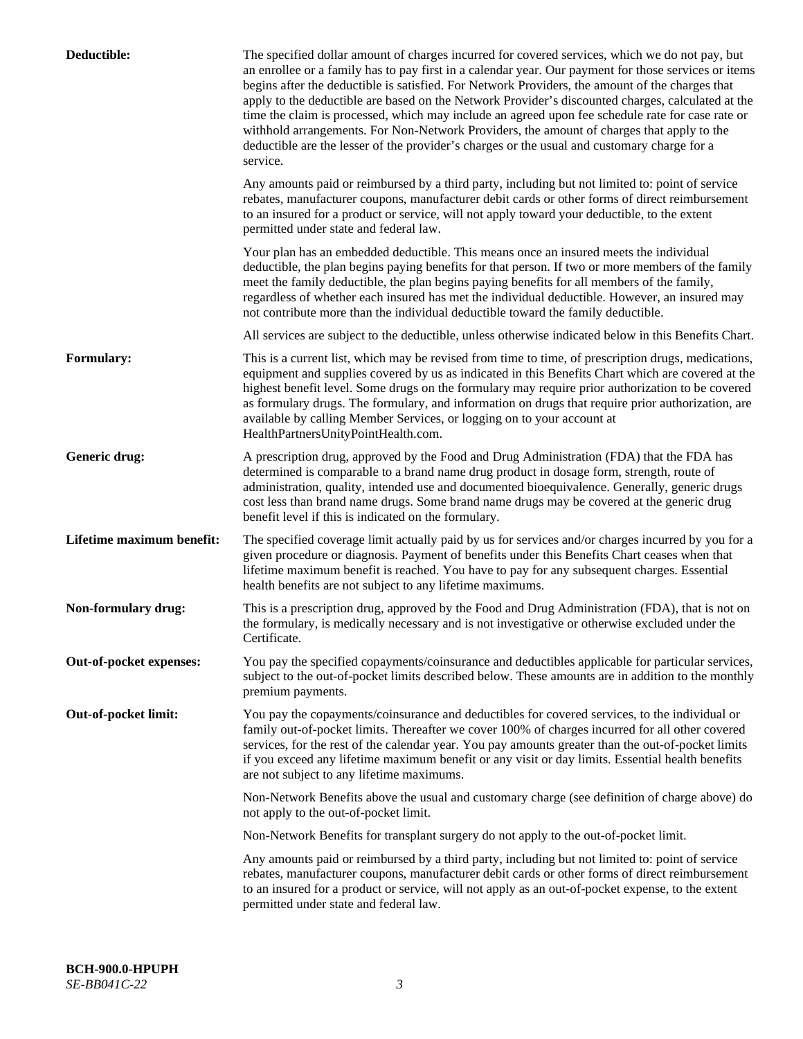| Deductible:               | The specified dollar amount of charges incurred for covered services, which we do not pay, but<br>an enrollee or a family has to pay first in a calendar year. Our payment for those services or items<br>begins after the deductible is satisfied. For Network Providers, the amount of the charges that<br>apply to the deductible are based on the Network Provider's discounted charges, calculated at the<br>time the claim is processed, which may include an agreed upon fee schedule rate for case rate or<br>withhold arrangements. For Non-Network Providers, the amount of charges that apply to the<br>deductible are the lesser of the provider's charges or the usual and customary charge for a<br>service. |
|---------------------------|----------------------------------------------------------------------------------------------------------------------------------------------------------------------------------------------------------------------------------------------------------------------------------------------------------------------------------------------------------------------------------------------------------------------------------------------------------------------------------------------------------------------------------------------------------------------------------------------------------------------------------------------------------------------------------------------------------------------------|
|                           | Any amounts paid or reimbursed by a third party, including but not limited to: point of service<br>rebates, manufacturer coupons, manufacturer debit cards or other forms of direct reimbursement<br>to an insured for a product or service, will not apply toward your deductible, to the extent<br>permitted under state and federal law.                                                                                                                                                                                                                                                                                                                                                                                |
|                           | Your plan has an embedded deductible. This means once an insured meets the individual<br>deductible, the plan begins paying benefits for that person. If two or more members of the family<br>meet the family deductible, the plan begins paying benefits for all members of the family,<br>regardless of whether each insured has met the individual deductible. However, an insured may<br>not contribute more than the individual deductible toward the family deductible.                                                                                                                                                                                                                                              |
|                           | All services are subject to the deductible, unless otherwise indicated below in this Benefits Chart.                                                                                                                                                                                                                                                                                                                                                                                                                                                                                                                                                                                                                       |
| <b>Formulary:</b>         | This is a current list, which may be revised from time to time, of prescription drugs, medications,<br>equipment and supplies covered by us as indicated in this Benefits Chart which are covered at the<br>highest benefit level. Some drugs on the formulary may require prior authorization to be covered<br>as formulary drugs. The formulary, and information on drugs that require prior authorization, are<br>available by calling Member Services, or logging on to your account at<br>HealthPartnersUnityPointHealth.com.                                                                                                                                                                                         |
| Generic drug:             | A prescription drug, approved by the Food and Drug Administration (FDA) that the FDA has<br>determined is comparable to a brand name drug product in dosage form, strength, route of<br>administration, quality, intended use and documented bioequivalence. Generally, generic drugs<br>cost less than brand name drugs. Some brand name drugs may be covered at the generic drug<br>benefit level if this is indicated on the formulary.                                                                                                                                                                                                                                                                                 |
| Lifetime maximum benefit: | The specified coverage limit actually paid by us for services and/or charges incurred by you for a<br>given procedure or diagnosis. Payment of benefits under this Benefits Chart ceases when that<br>lifetime maximum benefit is reached. You have to pay for any subsequent charges. Essential<br>health benefits are not subject to any lifetime maximums.                                                                                                                                                                                                                                                                                                                                                              |
| Non-formulary drug:       | This is a prescription drug, approved by the Food and Drug Administration (FDA), that is not on<br>the formulary, is medically necessary and is not investigative or otherwise excluded under the<br>Certificate.                                                                                                                                                                                                                                                                                                                                                                                                                                                                                                          |
| Out-of-pocket expenses:   | You pay the specified copayments/coinsurance and deductibles applicable for particular services,<br>subject to the out-of-pocket limits described below. These amounts are in addition to the monthly<br>premium payments.                                                                                                                                                                                                                                                                                                                                                                                                                                                                                                 |
| Out-of-pocket limit:      | You pay the copayments/coinsurance and deductibles for covered services, to the individual or<br>family out-of-pocket limits. Thereafter we cover 100% of charges incurred for all other covered<br>services, for the rest of the calendar year. You pay amounts greater than the out-of-pocket limits<br>if you exceed any lifetime maximum benefit or any visit or day limits. Essential health benefits<br>are not subject to any lifetime maximums.                                                                                                                                                                                                                                                                    |
|                           | Non-Network Benefits above the usual and customary charge (see definition of charge above) do<br>not apply to the out-of-pocket limit.                                                                                                                                                                                                                                                                                                                                                                                                                                                                                                                                                                                     |
|                           | Non-Network Benefits for transplant surgery do not apply to the out-of-pocket limit.                                                                                                                                                                                                                                                                                                                                                                                                                                                                                                                                                                                                                                       |
|                           | Any amounts paid or reimbursed by a third party, including but not limited to: point of service<br>rebates, manufacturer coupons, manufacturer debit cards or other forms of direct reimbursement<br>to an insured for a product or service, will not apply as an out-of-pocket expense, to the extent<br>permitted under state and federal law.                                                                                                                                                                                                                                                                                                                                                                           |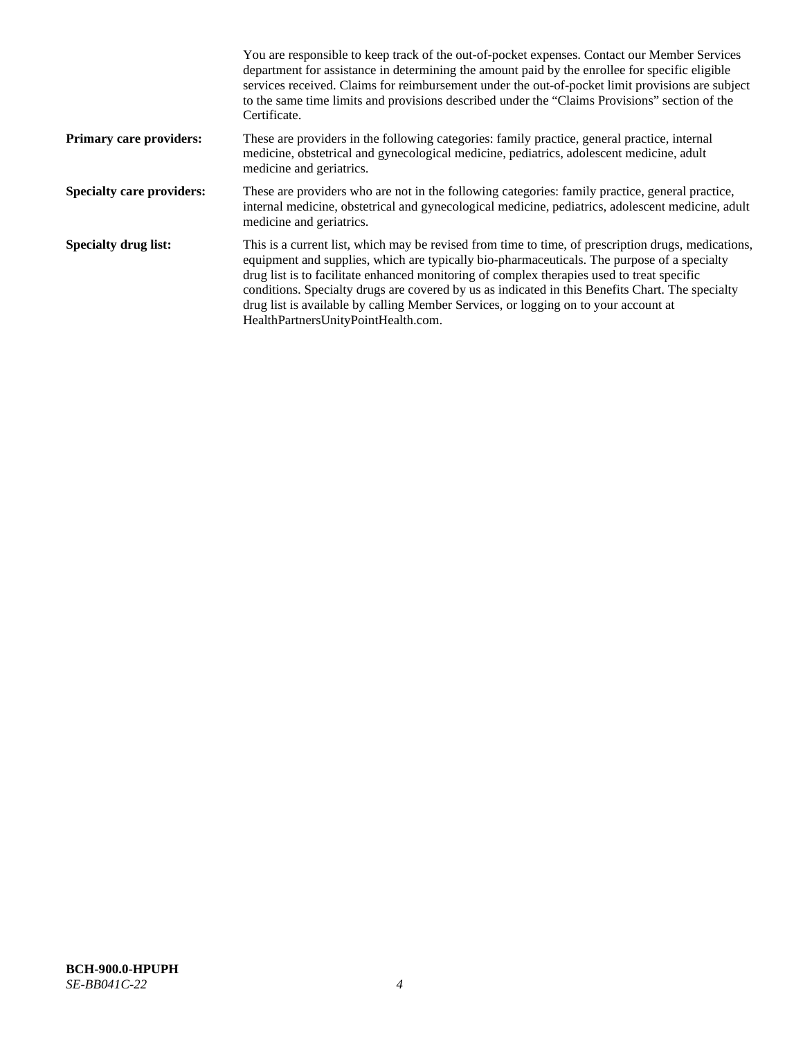|                                  | You are responsible to keep track of the out-of-pocket expenses. Contact our Member Services<br>department for assistance in determining the amount paid by the enrollee for specific eligible<br>services received. Claims for reimbursement under the out-of-pocket limit provisions are subject<br>to the same time limits and provisions described under the "Claims Provisions" section of the<br>Certificate.                                                                                                                |
|----------------------------------|------------------------------------------------------------------------------------------------------------------------------------------------------------------------------------------------------------------------------------------------------------------------------------------------------------------------------------------------------------------------------------------------------------------------------------------------------------------------------------------------------------------------------------|
| Primary care providers:          | These are providers in the following categories: family practice, general practice, internal<br>medicine, obstetrical and gynecological medicine, pediatrics, adolescent medicine, adult<br>medicine and geriatrics.                                                                                                                                                                                                                                                                                                               |
| <b>Specialty care providers:</b> | These are providers who are not in the following categories: family practice, general practice,<br>internal medicine, obstetrical and gynecological medicine, pediatrics, adolescent medicine, adult<br>medicine and geriatrics.                                                                                                                                                                                                                                                                                                   |
| <b>Specialty drug list:</b>      | This is a current list, which may be revised from time to time, of prescription drugs, medications,<br>equipment and supplies, which are typically bio-pharmaceuticals. The purpose of a specialty<br>drug list is to facilitate enhanced monitoring of complex therapies used to treat specific<br>conditions. Specialty drugs are covered by us as indicated in this Benefits Chart. The specialty<br>drug list is available by calling Member Services, or logging on to your account at<br>HealthPartnersUnityPointHealth.com. |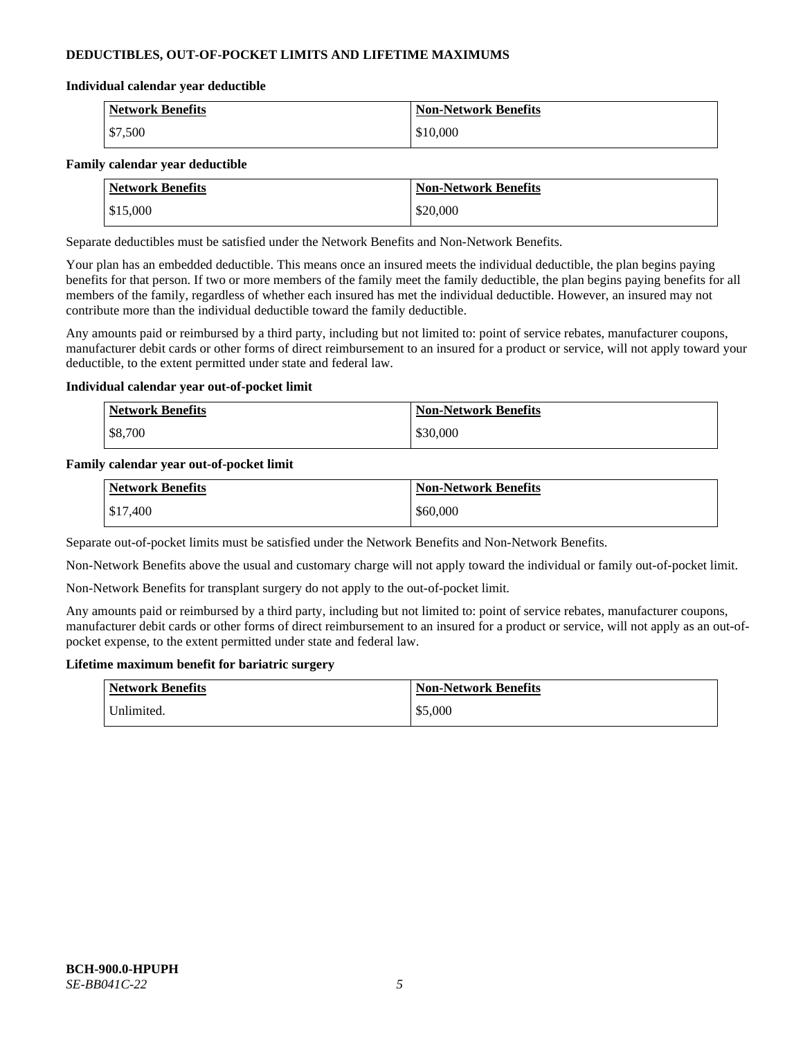# **DEDUCTIBLES, OUT-OF-POCKET LIMITS AND LIFETIME MAXIMUMS**

#### **Individual calendar year deductible**

| <b>Network Benefits</b> | <b>Non-Network Benefits</b> |
|-------------------------|-----------------------------|
| \$7,500                 | \$10,000                    |

### **Family calendar year deductible**

| <b>Network Benefits</b> | <b>Non-Network Benefits</b> |
|-------------------------|-----------------------------|
| \$15,000                | \$20,000                    |

Separate deductibles must be satisfied under the Network Benefits and Non-Network Benefits.

Your plan has an embedded deductible. This means once an insured meets the individual deductible, the plan begins paying benefits for that person. If two or more members of the family meet the family deductible, the plan begins paying benefits for all members of the family, regardless of whether each insured has met the individual deductible. However, an insured may not contribute more than the individual deductible toward the family deductible.

Any amounts paid or reimbursed by a third party, including but not limited to: point of service rebates, manufacturer coupons, manufacturer debit cards or other forms of direct reimbursement to an insured for a product or service, will not apply toward your deductible, to the extent permitted under state and federal law.

### **Individual calendar year out-of-pocket limit**

| <b>Network Benefits</b> | <b>Non-Network Benefits</b> |
|-------------------------|-----------------------------|
| \$8,700                 | \$30,000                    |

### **Family calendar year out-of-pocket limit**

| <b>Network Benefits</b> | <b>Non-Network Benefits</b> |
|-------------------------|-----------------------------|
| \$17,400                | \$60,000                    |

Separate out-of-pocket limits must be satisfied under the Network Benefits and Non-Network Benefits.

Non-Network Benefits above the usual and customary charge will not apply toward the individual or family out-of-pocket limit.

Non-Network Benefits for transplant surgery do not apply to the out-of-pocket limit.

Any amounts paid or reimbursed by a third party, including but not limited to: point of service rebates, manufacturer coupons, manufacturer debit cards or other forms of direct reimbursement to an insured for a product or service, will not apply as an out-ofpocket expense, to the extent permitted under state and federal law.

#### **Lifetime maximum benefit for bariatric surgery**

| <b>Network Benefits</b> | <b>Non-Network Benefits</b> |
|-------------------------|-----------------------------|
| "Jnlimited.             | \$5,000                     |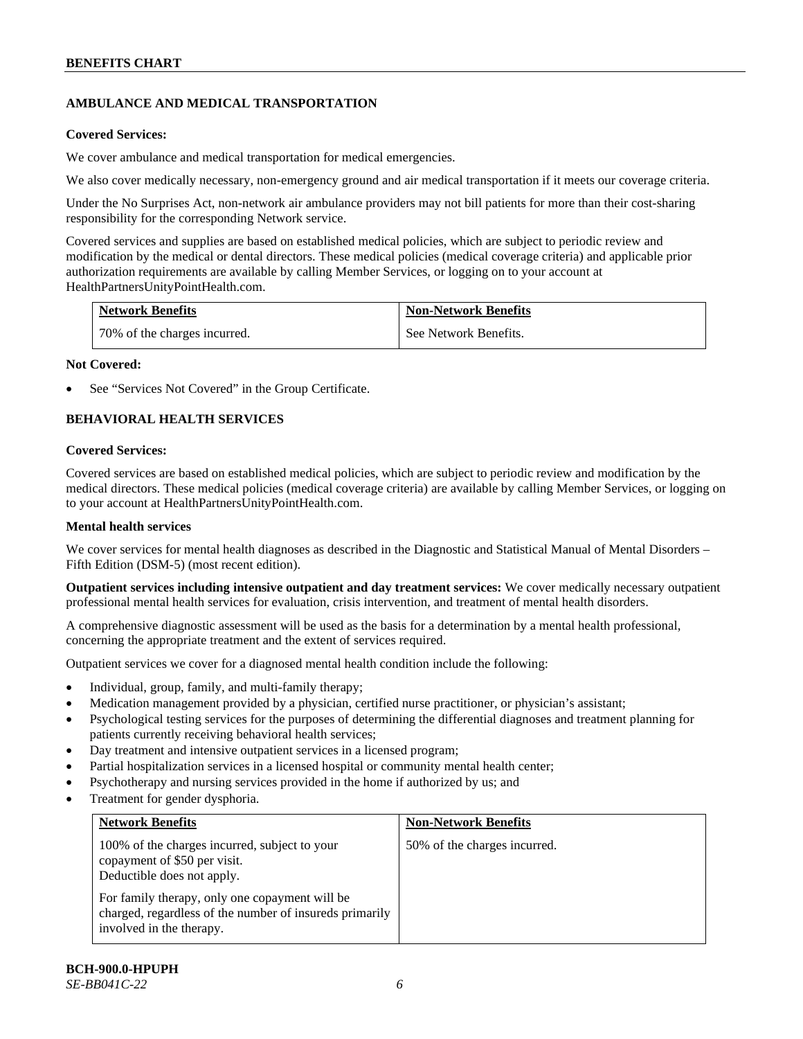# **AMBULANCE AND MEDICAL TRANSPORTATION**

### **Covered Services:**

We cover ambulance and medical transportation for medical emergencies.

We also cover medically necessary, non-emergency ground and air medical transportation if it meets our coverage criteria.

Under the No Surprises Act, non-network air ambulance providers may not bill patients for more than their cost-sharing responsibility for the corresponding Network service.

Covered services and supplies are based on established medical policies, which are subject to periodic review and modification by the medical or dental directors. These medical policies (medical coverage criteria) and applicable prior authorization requirements are available by calling Member Services, or logging on to your account at [HealthPartnersUnityPointHealth.com.](https://www.healthpartnersunitypointhealth.com/)

| <b>Network Benefits</b>      | <b>Non-Network Benefits</b> |
|------------------------------|-----------------------------|
| 70% of the charges incurred. | See Network Benefits.       |

### **Not Covered:**

See "Services Not Covered" in the Group Certificate.

# **BEHAVIORAL HEALTH SERVICES**

### **Covered Services:**

Covered services are based on established medical policies, which are subject to periodic review and modification by the medical directors. These medical policies (medical coverage criteria) are available by calling Member Services, or logging on to your account at [HealthPartnersUnityPointHealth.com.](https://www.healthpartnersunitypointhealth.com/)

### **Mental health services**

We cover services for mental health diagnoses as described in the Diagnostic and Statistical Manual of Mental Disorders – Fifth Edition (DSM-5) (most recent edition).

**Outpatient services including intensive outpatient and day treatment services:** We cover medically necessary outpatient professional mental health services for evaluation, crisis intervention, and treatment of mental health disorders.

A comprehensive diagnostic assessment will be used as the basis for a determination by a mental health professional, concerning the appropriate treatment and the extent of services required.

Outpatient services we cover for a diagnosed mental health condition include the following:

- Individual, group, family, and multi-family therapy;
- Medication management provided by a physician, certified nurse practitioner, or physician's assistant;
- Psychological testing services for the purposes of determining the differential diagnoses and treatment planning for patients currently receiving behavioral health services;
- Day treatment and intensive outpatient services in a licensed program;
- Partial hospitalization services in a licensed hospital or community mental health center;
- Psychotherapy and nursing services provided in the home if authorized by us; and
- Treatment for gender dysphoria.

| <b>Network Benefits</b>                                                                                                               | <b>Non-Network Benefits</b>  |
|---------------------------------------------------------------------------------------------------------------------------------------|------------------------------|
| 100% of the charges incurred, subject to your<br>copayment of \$50 per visit.<br>Deductible does not apply.                           | 50% of the charges incurred. |
| For family therapy, only one copayment will be<br>charged, regardless of the number of insureds primarily<br>involved in the therapy. |                              |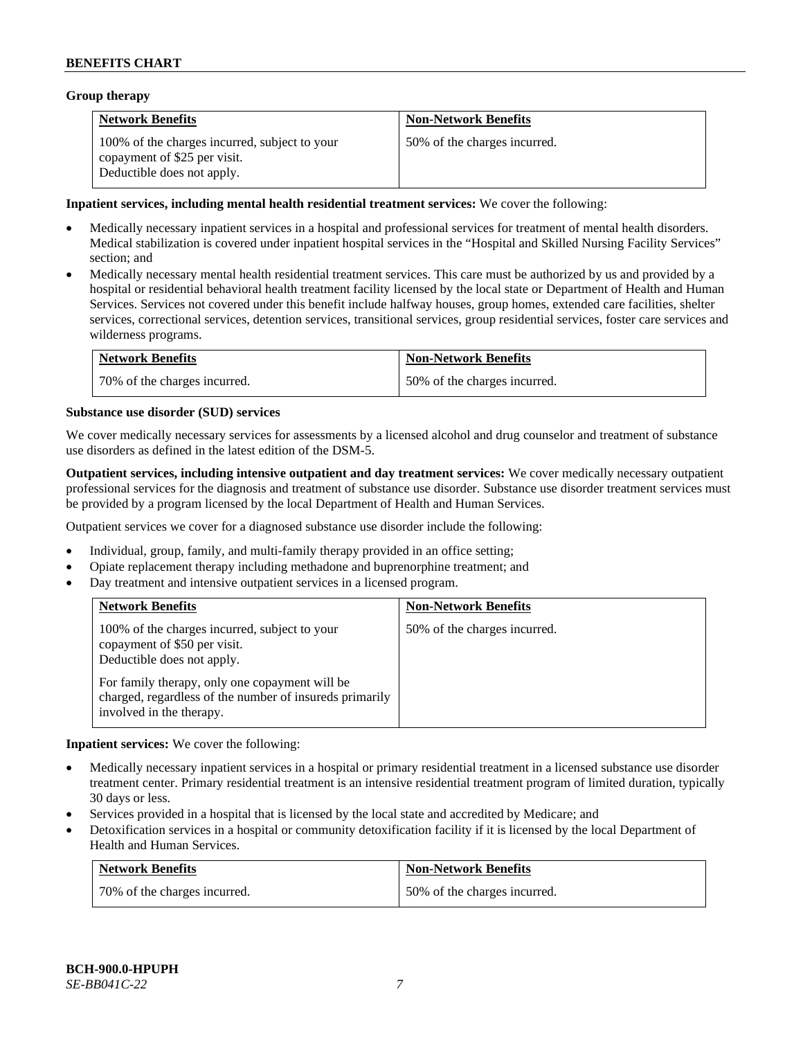### **Group therapy**

| <b>Network Benefits</b>                                                                                     | <b>Non-Network Benefits</b>  |
|-------------------------------------------------------------------------------------------------------------|------------------------------|
| 100% of the charges incurred, subject to your<br>copayment of \$25 per visit.<br>Deductible does not apply. | 50% of the charges incurred. |

### **Inpatient services, including mental health residential treatment services:** We cover the following:

- Medically necessary inpatient services in a hospital and professional services for treatment of mental health disorders. Medical stabilization is covered under inpatient hospital services in the "Hospital and Skilled Nursing Facility Services" section; and
- Medically necessary mental health residential treatment services. This care must be authorized by us and provided by a hospital or residential behavioral health treatment facility licensed by the local state or Department of Health and Human Services. Services not covered under this benefit include halfway houses, group homes, extended care facilities, shelter services, correctional services, detention services, transitional services, group residential services, foster care services and wilderness programs.

| <b>Network Benefits</b>      | <b>Non-Network Benefits</b>  |
|------------------------------|------------------------------|
| 70% of the charges incurred. | 50% of the charges incurred. |

### **Substance use disorder (SUD) services**

We cover medically necessary services for assessments by a licensed alcohol and drug counselor and treatment of substance use disorders as defined in the latest edition of the DSM-5.

**Outpatient services, including intensive outpatient and day treatment services:** We cover medically necessary outpatient professional services for the diagnosis and treatment of substance use disorder. Substance use disorder treatment services must be provided by a program licensed by the local Department of Health and Human Services.

Outpatient services we cover for a diagnosed substance use disorder include the following:

- Individual, group, family, and multi-family therapy provided in an office setting;
- Opiate replacement therapy including methadone and buprenorphine treatment; and
- Day treatment and intensive outpatient services in a licensed program.

| <b>Network Benefits</b>                                                                                                                                                                                                                              | <b>Non-Network Benefits</b>  |
|------------------------------------------------------------------------------------------------------------------------------------------------------------------------------------------------------------------------------------------------------|------------------------------|
| 100% of the charges incurred, subject to your<br>copayment of \$50 per visit.<br>Deductible does not apply.<br>For family therapy, only one copayment will be<br>charged, regardless of the number of insureds primarily<br>involved in the therapy. | 50% of the charges incurred. |

**Inpatient services:** We cover the following:

- Medically necessary inpatient services in a hospital or primary residential treatment in a licensed substance use disorder treatment center. Primary residential treatment is an intensive residential treatment program of limited duration, typically 30 days or less.
- Services provided in a hospital that is licensed by the local state and accredited by Medicare; and
- Detoxification services in a hospital or community detoxification facility if it is licensed by the local Department of Health and Human Services.

| <b>Network Benefits</b>      | <b>Non-Network Benefits</b>  |
|------------------------------|------------------------------|
| 70% of the charges incurred. | 50% of the charges incurred. |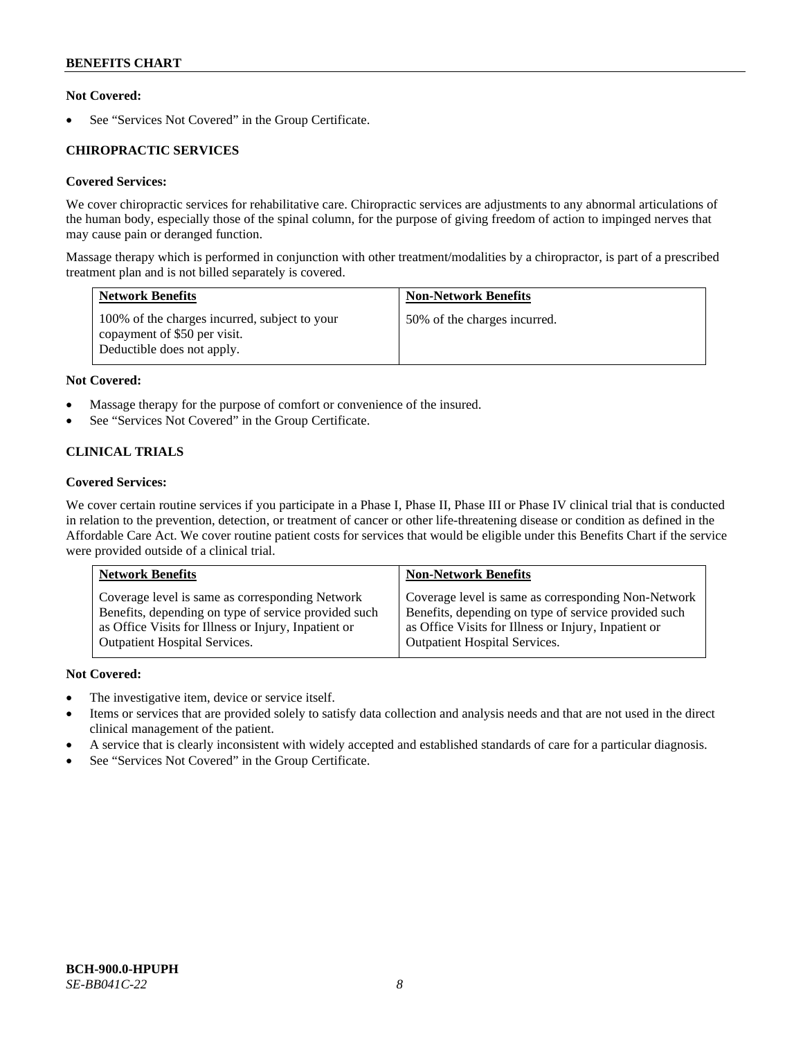# **Not Covered:**

See "Services Not Covered" in the Group Certificate.

# **CHIROPRACTIC SERVICES**

# **Covered Services:**

We cover chiropractic services for rehabilitative care. Chiropractic services are adjustments to any abnormal articulations of the human body, especially those of the spinal column, for the purpose of giving freedom of action to impinged nerves that may cause pain or deranged function.

Massage therapy which is performed in conjunction with other treatment/modalities by a chiropractor, is part of a prescribed treatment plan and is not billed separately is covered.

| <b>Network Benefits</b>                                                                                     | <b>Non-Network Benefits</b>  |
|-------------------------------------------------------------------------------------------------------------|------------------------------|
| 100% of the charges incurred, subject to your<br>copayment of \$50 per visit.<br>Deductible does not apply. | 50% of the charges incurred. |

# **Not Covered:**

- Massage therapy for the purpose of comfort or convenience of the insured.
- See "Services Not Covered" in the Group Certificate.

# **CLINICAL TRIALS**

# **Covered Services:**

We cover certain routine services if you participate in a Phase I, Phase II, Phase III or Phase IV clinical trial that is conducted in relation to the prevention, detection, or treatment of cancer or other life-threatening disease or condition as defined in the Affordable Care Act. We cover routine patient costs for services that would be eligible under this Benefits Chart if the service were provided outside of a clinical trial.

| <b>Network Benefits</b>                              | <b>Non-Network Benefits</b>                          |
|------------------------------------------------------|------------------------------------------------------|
| Coverage level is same as corresponding Network      | Coverage level is same as corresponding Non-Network  |
| Benefits, depending on type of service provided such | Benefits, depending on type of service provided such |
| as Office Visits for Illness or Injury, Inpatient or | as Office Visits for Illness or Injury, Inpatient or |
| <b>Outpatient Hospital Services.</b>                 | <b>Outpatient Hospital Services.</b>                 |

# **Not Covered:**

- The investigative item, device or service itself.
- Items or services that are provided solely to satisfy data collection and analysis needs and that are not used in the direct clinical management of the patient.
- A service that is clearly inconsistent with widely accepted and established standards of care for a particular diagnosis.
- See "Services Not Covered" in the Group Certificate.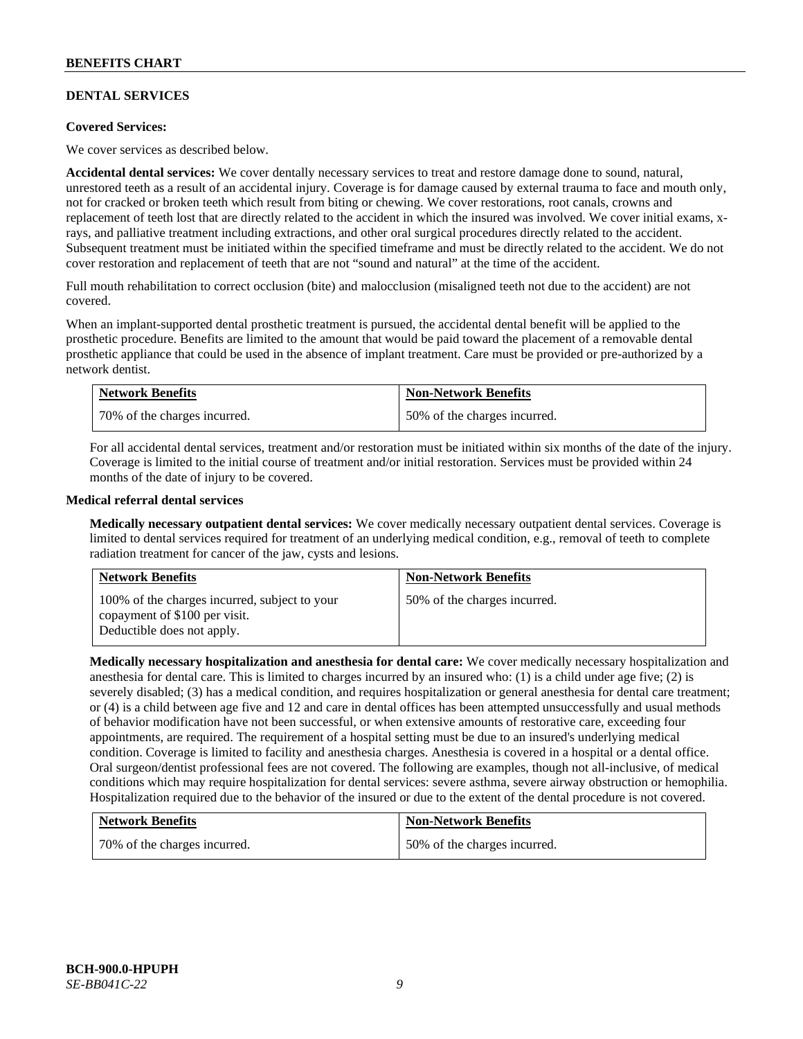# **DENTAL SERVICES**

### **Covered Services:**

We cover services as described below.

**Accidental dental services:** We cover dentally necessary services to treat and restore damage done to sound, natural, unrestored teeth as a result of an accidental injury. Coverage is for damage caused by external trauma to face and mouth only, not for cracked or broken teeth which result from biting or chewing. We cover restorations, root canals, crowns and replacement of teeth lost that are directly related to the accident in which the insured was involved. We cover initial exams, xrays, and palliative treatment including extractions, and other oral surgical procedures directly related to the accident. Subsequent treatment must be initiated within the specified timeframe and must be directly related to the accident. We do not cover restoration and replacement of teeth that are not "sound and natural" at the time of the accident.

Full mouth rehabilitation to correct occlusion (bite) and malocclusion (misaligned teeth not due to the accident) are not covered.

When an implant-supported dental prosthetic treatment is pursued, the accidental dental benefit will be applied to the prosthetic procedure. Benefits are limited to the amount that would be paid toward the placement of a removable dental prosthetic appliance that could be used in the absence of implant treatment. Care must be provided or pre-authorized by a network dentist.

| <b>Network Benefits</b>      | <b>Non-Network Benefits</b>  |
|------------------------------|------------------------------|
| 70% of the charges incurred. | 50% of the charges incurred. |

For all accidental dental services, treatment and/or restoration must be initiated within six months of the date of the injury. Coverage is limited to the initial course of treatment and/or initial restoration. Services must be provided within 24 months of the date of injury to be covered.

### **Medical referral dental services**

**Medically necessary outpatient dental services:** We cover medically necessary outpatient dental services. Coverage is limited to dental services required for treatment of an underlying medical condition, e.g., removal of teeth to complete radiation treatment for cancer of the jaw, cysts and lesions.

| <b>Network Benefits</b>                                                                                      | <b>Non-Network Benefits</b>  |
|--------------------------------------------------------------------------------------------------------------|------------------------------|
| 100% of the charges incurred, subject to your<br>copayment of \$100 per visit.<br>Deductible does not apply. | 50% of the charges incurred. |

**Medically necessary hospitalization and anesthesia for dental care:** We cover medically necessary hospitalization and anesthesia for dental care. This is limited to charges incurred by an insured who: (1) is a child under age five; (2) is severely disabled; (3) has a medical condition, and requires hospitalization or general anesthesia for dental care treatment; or (4) is a child between age five and 12 and care in dental offices has been attempted unsuccessfully and usual methods of behavior modification have not been successful, or when extensive amounts of restorative care, exceeding four appointments, are required. The requirement of a hospital setting must be due to an insured's underlying medical condition. Coverage is limited to facility and anesthesia charges. Anesthesia is covered in a hospital or a dental office. Oral surgeon/dentist professional fees are not covered. The following are examples, though not all-inclusive, of medical conditions which may require hospitalization for dental services: severe asthma, severe airway obstruction or hemophilia. Hospitalization required due to the behavior of the insured or due to the extent of the dental procedure is not covered.

| <b>Network Benefits</b>      | <b>Non-Network Benefits</b>  |
|------------------------------|------------------------------|
| 70% of the charges incurred. | 50% of the charges incurred. |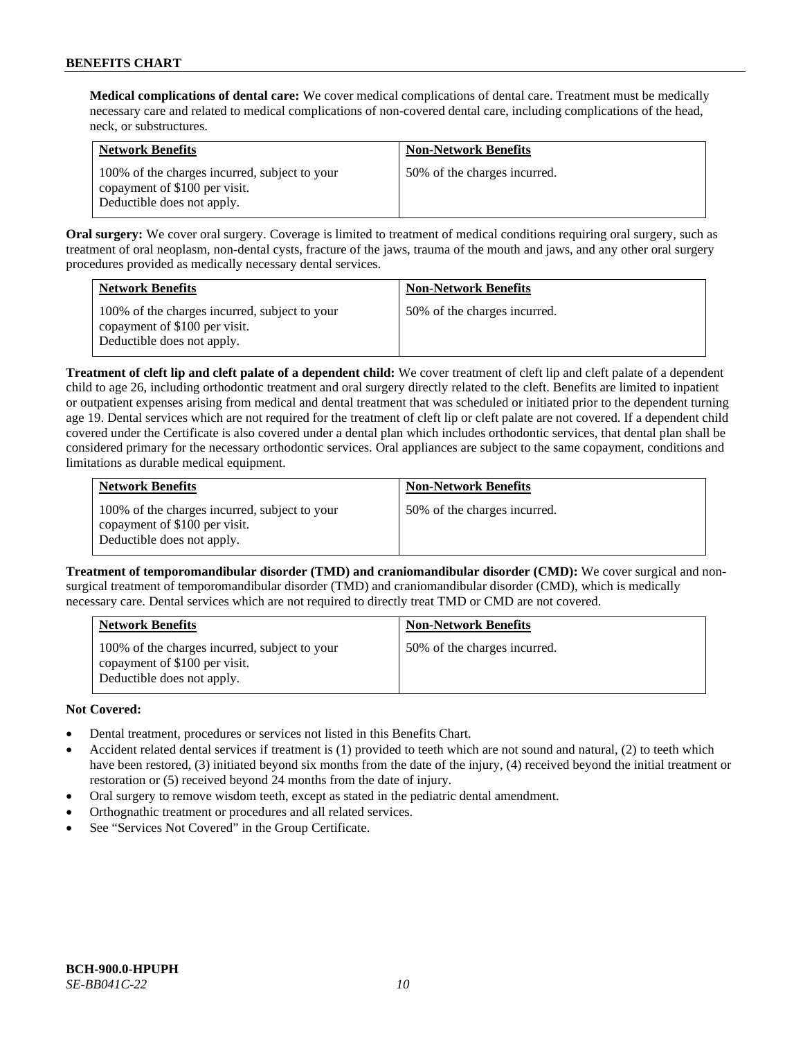**Medical complications of dental care:** We cover medical complications of dental care. Treatment must be medically necessary care and related to medical complications of non-covered dental care, including complications of the head, neck, or substructures.

| <b>Network Benefits</b>                                                                                      | <b>Non-Network Benefits</b>  |
|--------------------------------------------------------------------------------------------------------------|------------------------------|
| 100% of the charges incurred, subject to your<br>copayment of \$100 per visit.<br>Deductible does not apply. | 50% of the charges incurred. |

**Oral surgery:** We cover oral surgery. Coverage is limited to treatment of medical conditions requiring oral surgery, such as treatment of oral neoplasm, non-dental cysts, fracture of the jaws, trauma of the mouth and jaws, and any other oral surgery procedures provided as medically necessary dental services.

| <b>Network Benefits</b>                                                                                      | <b>Non-Network Benefits</b>  |
|--------------------------------------------------------------------------------------------------------------|------------------------------|
| 100% of the charges incurred, subject to your<br>copayment of \$100 per visit.<br>Deductible does not apply. | 50% of the charges incurred. |

**Treatment of cleft lip and cleft palate of a dependent child:** We cover treatment of cleft lip and cleft palate of a dependent child to age 26, including orthodontic treatment and oral surgery directly related to the cleft. Benefits are limited to inpatient or outpatient expenses arising from medical and dental treatment that was scheduled or initiated prior to the dependent turning age 19. Dental services which are not required for the treatment of cleft lip or cleft palate are not covered. If a dependent child covered under the Certificate is also covered under a dental plan which includes orthodontic services, that dental plan shall be considered primary for the necessary orthodontic services. Oral appliances are subject to the same copayment, conditions and limitations as durable medical equipment.

| <b>Network Benefits</b>                                                                                      | <b>Non-Network Benefits</b>  |
|--------------------------------------------------------------------------------------------------------------|------------------------------|
| 100% of the charges incurred, subject to your<br>copayment of \$100 per visit.<br>Deductible does not apply. | 50% of the charges incurred. |

**Treatment of temporomandibular disorder (TMD) and craniomandibular disorder (CMD):** We cover surgical and nonsurgical treatment of temporomandibular disorder (TMD) and craniomandibular disorder (CMD), which is medically necessary care. Dental services which are not required to directly treat TMD or CMD are not covered.

| <b>Network Benefits</b>                                                                                      | <b>Non-Network Benefits</b>  |
|--------------------------------------------------------------------------------------------------------------|------------------------------|
| 100% of the charges incurred, subject to your<br>copayment of \$100 per visit.<br>Deductible does not apply. | 50% of the charges incurred. |

# **Not Covered:**

- Dental treatment, procedures or services not listed in this Benefits Chart.
- Accident related dental services if treatment is (1) provided to teeth which are not sound and natural, (2) to teeth which have been restored, (3) initiated beyond six months from the date of the injury, (4) received beyond the initial treatment or restoration or (5) received beyond 24 months from the date of injury.
- Oral surgery to remove wisdom teeth, except as stated in the pediatric dental amendment.
- Orthognathic treatment or procedures and all related services.
- See "Services Not Covered" in the Group Certificate.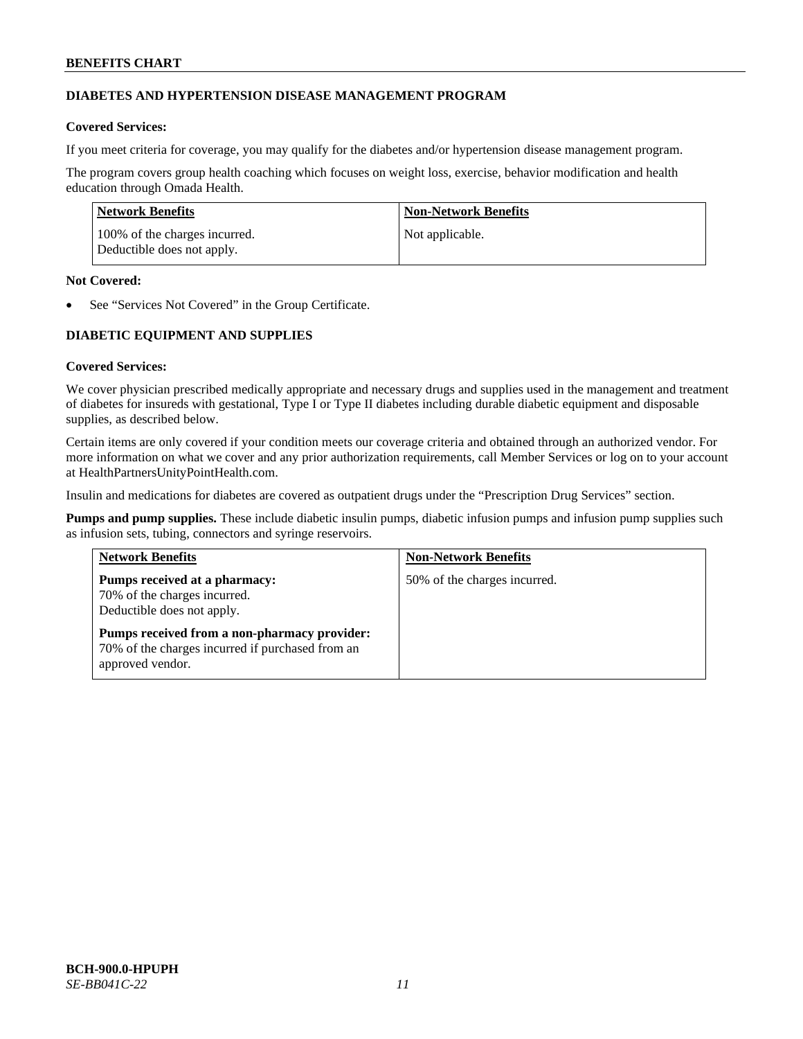# **DIABETES AND HYPERTENSION DISEASE MANAGEMENT PROGRAM**

# **Covered Services:**

If you meet criteria for coverage, you may qualify for the diabetes and/or hypertension disease management program.

The program covers group health coaching which focuses on weight loss, exercise, behavior modification and health education through Omada Health.

| Network Benefits                                            | Non-Network Benefits |
|-------------------------------------------------------------|----------------------|
| 100% of the charges incurred.<br>Deductible does not apply. | Not applicable.      |

### **Not Covered:**

See "Services Not Covered" in the Group Certificate.

# **DIABETIC EQUIPMENT AND SUPPLIES**

# **Covered Services:**

We cover physician prescribed medically appropriate and necessary drugs and supplies used in the management and treatment of diabetes for insureds with gestational, Type I or Type II diabetes including durable diabetic equipment and disposable supplies, as described below.

Certain items are only covered if your condition meets our coverage criteria and obtained through an authorized vendor. For more information on what we cover and any prior authorization requirements, call Member Services or log on to your account at [HealthPartnersUnityPointHealth.com.](https://www.healthpartnersunitypointhealth.com/)

Insulin and medications for diabetes are covered as outpatient drugs under the "Prescription Drug Services" section.

**Pumps and pump supplies.** These include diabetic insulin pumps, diabetic infusion pumps and infusion pump supplies such as infusion sets, tubing, connectors and syringe reservoirs.

| <b>Network Benefits</b>                                                                                              | <b>Non-Network Benefits</b>  |
|----------------------------------------------------------------------------------------------------------------------|------------------------------|
| Pumps received at a pharmacy:<br>70% of the charges incurred.<br>Deductible does not apply.                          | 50% of the charges incurred. |
| Pumps received from a non-pharmacy provider:<br>70% of the charges incurred if purchased from an<br>approved vendor. |                              |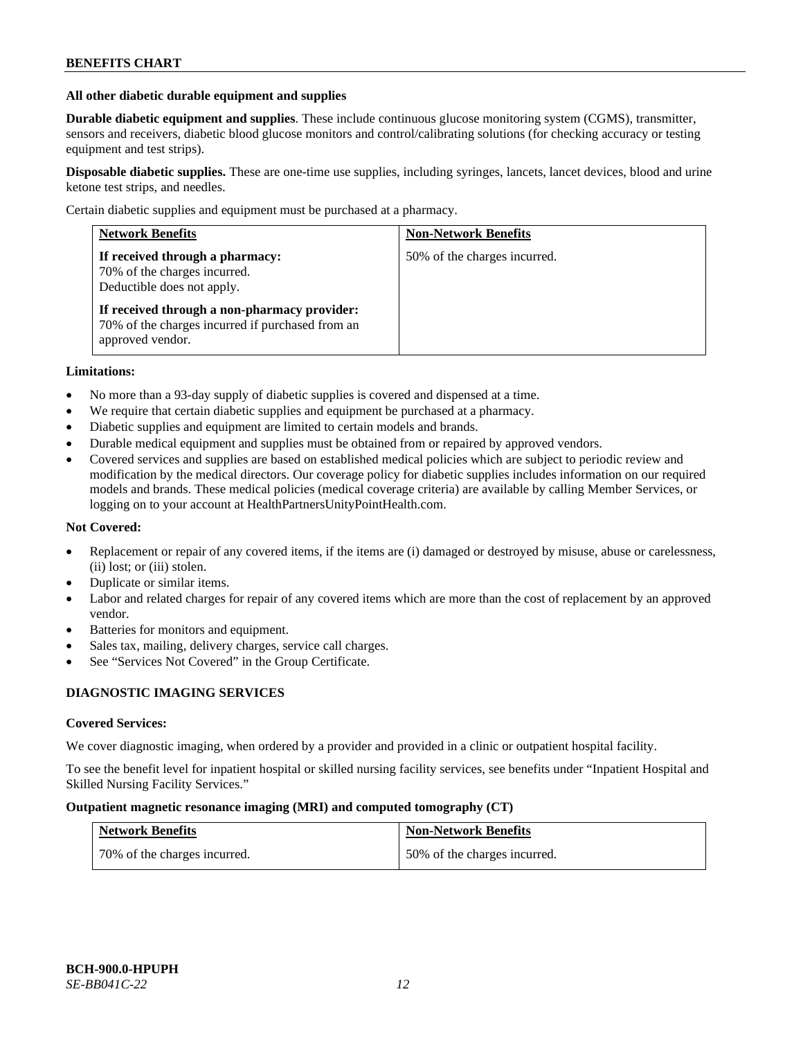### **All other diabetic durable equipment and supplies**

**Durable diabetic equipment and supplies**. These include continuous glucose monitoring system (CGMS), transmitter, sensors and receivers, diabetic blood glucose monitors and control/calibrating solutions (for checking accuracy or testing equipment and test strips).

**Disposable diabetic supplies.** These are one-time use supplies, including syringes, lancets, lancet devices, blood and urine ketone test strips, and needles.

Certain diabetic supplies and equipment must be purchased at a pharmacy.

| <b>Network Benefits</b>                                                                                              | <b>Non-Network Benefits</b>  |
|----------------------------------------------------------------------------------------------------------------------|------------------------------|
| If received through a pharmacy:<br>70% of the charges incurred.<br>Deductible does not apply.                        | 50% of the charges incurred. |
| If received through a non-pharmacy provider:<br>70% of the charges incurred if purchased from an<br>approved vendor. |                              |

### **Limitations:**

- No more than a 93-day supply of diabetic supplies is covered and dispensed at a time.
- We require that certain diabetic supplies and equipment be purchased at a pharmacy.
- Diabetic supplies and equipment are limited to certain models and brands.
- Durable medical equipment and supplies must be obtained from or repaired by approved vendors.
- Covered services and supplies are based on established medical policies which are subject to periodic review and modification by the medical directors. Our coverage policy for diabetic supplies includes information on our required models and brands. These medical policies (medical coverage criteria) are available by calling Member Services, or logging on to your account a[t HealthPartnersUnityPointHealth.com.](https://www.healthpartnersunitypointhealth.com/)

# **Not Covered:**

- Replacement or repair of any covered items, if the items are (i) damaged or destroyed by misuse, abuse or carelessness, (ii) lost; or (iii) stolen.
- Duplicate or similar items.
- Labor and related charges for repair of any covered items which are more than the cost of replacement by an approved vendor.
- Batteries for monitors and equipment.
- Sales tax, mailing, delivery charges, service call charges.
- See "Services Not Covered" in the Group Certificate.

# **DIAGNOSTIC IMAGING SERVICES**

#### **Covered Services:**

We cover diagnostic imaging, when ordered by a provider and provided in a clinic or outpatient hospital facility.

To see the benefit level for inpatient hospital or skilled nursing facility services, see benefits under "Inpatient Hospital and Skilled Nursing Facility Services."

### **Outpatient magnetic resonance imaging (MRI) and computed tomography (CT)**

| <b>Network Benefits</b>      | <b>Non-Network Benefits</b>  |
|------------------------------|------------------------------|
| 70% of the charges incurred. | 50% of the charges incurred. |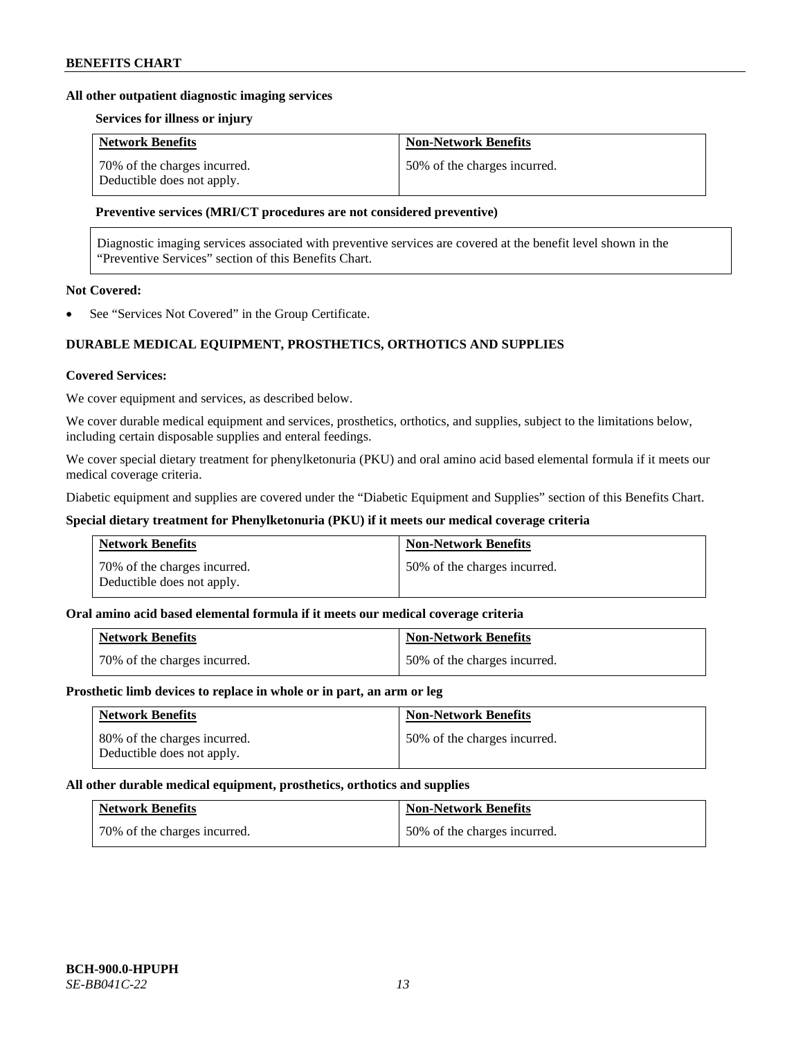### **All other outpatient diagnostic imaging services**

### **Services for illness or injury**

| <b>Network Benefits</b>                                    | <b>Non-Network Benefits</b>  |
|------------------------------------------------------------|------------------------------|
| 70% of the charges incurred.<br>Deductible does not apply. | 50% of the charges incurred. |

### **Preventive services (MRI/CT procedures are not considered preventive)**

Diagnostic imaging services associated with preventive services are covered at the benefit level shown in the "Preventive Services" section of this Benefits Chart.

# **Not Covered:**

See "Services Not Covered" in the Group Certificate.

# **DURABLE MEDICAL EQUIPMENT, PROSTHETICS, ORTHOTICS AND SUPPLIES**

#### **Covered Services:**

We cover equipment and services, as described below.

We cover durable medical equipment and services, prosthetics, orthotics, and supplies, subject to the limitations below, including certain disposable supplies and enteral feedings.

We cover special dietary treatment for phenylketonuria (PKU) and oral amino acid based elemental formula if it meets our medical coverage criteria.

Diabetic equipment and supplies are covered under the "Diabetic Equipment and Supplies" section of this Benefits Chart.

### **Special dietary treatment for Phenylketonuria (PKU) if it meets our medical coverage criteria**

| <b>Network Benefits</b>                                    | <b>Non-Network Benefits</b>  |
|------------------------------------------------------------|------------------------------|
| 70% of the charges incurred.<br>Deductible does not apply. | 50% of the charges incurred. |

### **Oral amino acid based elemental formula if it meets our medical coverage criteria**

| <b>Network Benefits</b>        | <b>Non-Network Benefits</b>  |
|--------------------------------|------------------------------|
| 1 70% of the charges incurred. | 50% of the charges incurred. |

### **Prosthetic limb devices to replace in whole or in part, an arm or leg**

| <b>Network Benefits</b>                                    | <b>Non-Network Benefits</b>  |
|------------------------------------------------------------|------------------------------|
| 80% of the charges incurred.<br>Deductible does not apply. | 50% of the charges incurred. |

#### **All other durable medical equipment, prosthetics, orthotics and supplies**

| <b>Network Benefits</b>      | <b>Non-Network Benefits</b>  |
|------------------------------|------------------------------|
| 70% of the charges incurred. | 50% of the charges incurred. |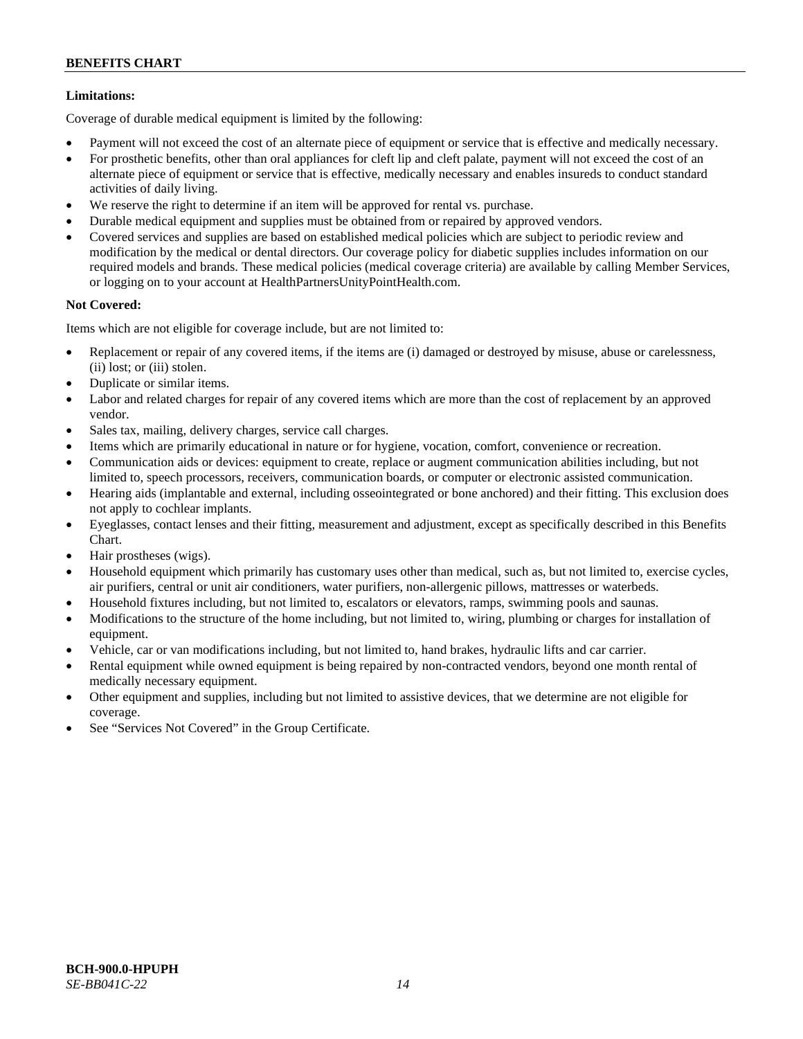# **Limitations:**

Coverage of durable medical equipment is limited by the following:

- Payment will not exceed the cost of an alternate piece of equipment or service that is effective and medically necessary.
- For prosthetic benefits, other than oral appliances for cleft lip and cleft palate, payment will not exceed the cost of an alternate piece of equipment or service that is effective, medically necessary and enables insureds to conduct standard activities of daily living.
- We reserve the right to determine if an item will be approved for rental vs. purchase.
- Durable medical equipment and supplies must be obtained from or repaired by approved vendors.
- Covered services and supplies are based on established medical policies which are subject to periodic review and modification by the medical or dental directors. Our coverage policy for diabetic supplies includes information on our required models and brands. These medical policies (medical coverage criteria) are available by calling Member Services, or logging on to your account at [HealthPartnersUnityPointHealth.com.](https://www.healthpartnersunitypointhealth.com/)

# **Not Covered:**

Items which are not eligible for coverage include, but are not limited to:

- Replacement or repair of any covered items, if the items are (i) damaged or destroyed by misuse, abuse or carelessness, (ii) lost; or (iii) stolen.
- Duplicate or similar items.
- Labor and related charges for repair of any covered items which are more than the cost of replacement by an approved vendor.
- Sales tax, mailing, delivery charges, service call charges.
- Items which are primarily educational in nature or for hygiene, vocation, comfort, convenience or recreation.
- Communication aids or devices: equipment to create, replace or augment communication abilities including, but not limited to, speech processors, receivers, communication boards, or computer or electronic assisted communication.
- Hearing aids (implantable and external, including osseointegrated or bone anchored) and their fitting. This exclusion does not apply to cochlear implants.
- Eyeglasses, contact lenses and their fitting, measurement and adjustment, except as specifically described in this Benefits Chart.
- Hair prostheses (wigs).
- Household equipment which primarily has customary uses other than medical, such as, but not limited to, exercise cycles, air purifiers, central or unit air conditioners, water purifiers, non-allergenic pillows, mattresses or waterbeds.
- Household fixtures including, but not limited to, escalators or elevators, ramps, swimming pools and saunas.
- Modifications to the structure of the home including, but not limited to, wiring, plumbing or charges for installation of equipment.
- Vehicle, car or van modifications including, but not limited to, hand brakes, hydraulic lifts and car carrier.
- Rental equipment while owned equipment is being repaired by non-contracted vendors, beyond one month rental of medically necessary equipment.
- Other equipment and supplies, including but not limited to assistive devices, that we determine are not eligible for coverage.
- See "Services Not Covered" in the Group Certificate.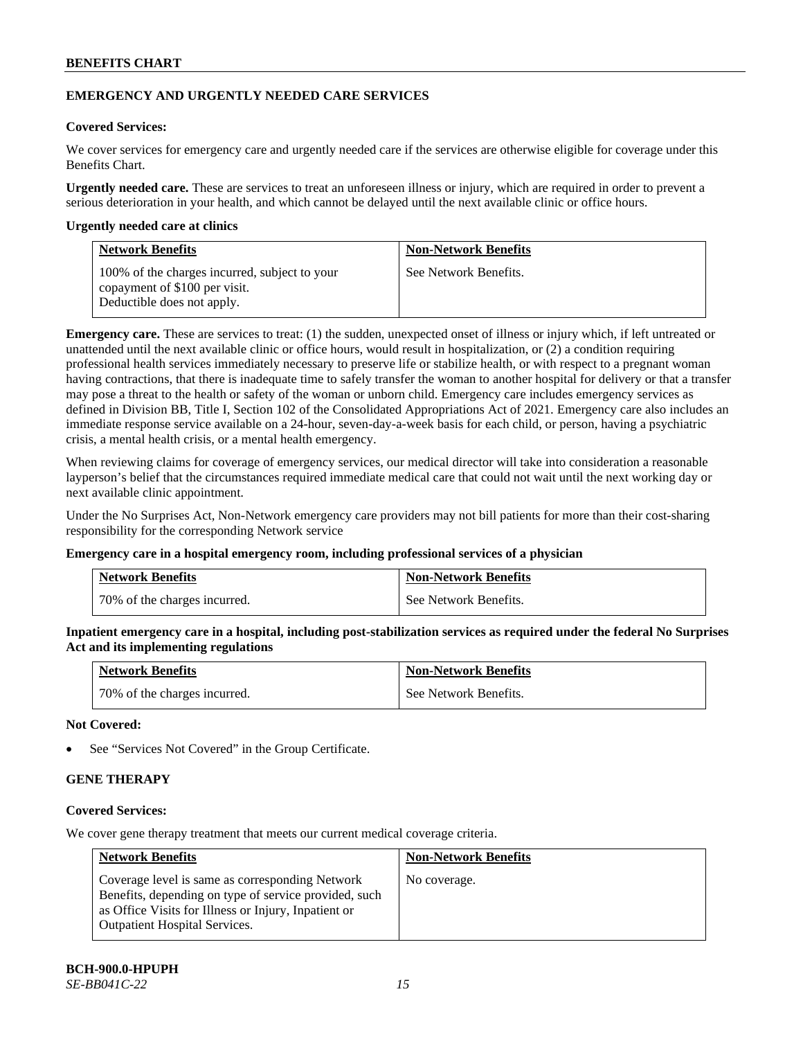# **EMERGENCY AND URGENTLY NEEDED CARE SERVICES**

# **Covered Services:**

We cover services for emergency care and urgently needed care if the services are otherwise eligible for coverage under this Benefits Chart.

**Urgently needed care.** These are services to treat an unforeseen illness or injury, which are required in order to prevent a serious deterioration in your health, and which cannot be delayed until the next available clinic or office hours.

### **Urgently needed care at clinics**

| <b>Network Benefits</b>                                                                                      | <b>Non-Network Benefits</b> |
|--------------------------------------------------------------------------------------------------------------|-----------------------------|
| 100% of the charges incurred, subject to your<br>copayment of \$100 per visit.<br>Deductible does not apply. | See Network Benefits.       |

**Emergency care.** These are services to treat: (1) the sudden, unexpected onset of illness or injury which, if left untreated or unattended until the next available clinic or office hours, would result in hospitalization, or (2) a condition requiring professional health services immediately necessary to preserve life or stabilize health, or with respect to a pregnant woman having contractions, that there is inadequate time to safely transfer the woman to another hospital for delivery or that a transfer may pose a threat to the health or safety of the woman or unborn child. Emergency care includes emergency services as defined in Division BB, Title I, Section 102 of the Consolidated Appropriations Act of 2021. Emergency care also includes an immediate response service available on a 24-hour, seven-day-a-week basis for each child, or person, having a psychiatric crisis, a mental health crisis, or a mental health emergency.

When reviewing claims for coverage of emergency services, our medical director will take into consideration a reasonable layperson's belief that the circumstances required immediate medical care that could not wait until the next working day or next available clinic appointment.

Under the No Surprises Act, Non-Network emergency care providers may not bill patients for more than their cost-sharing responsibility for the corresponding Network service

#### **Emergency care in a hospital emergency room, including professional services of a physician**

| <b>Network Benefits</b>      | <b>Non-Network Benefits</b> |
|------------------------------|-----------------------------|
| 70% of the charges incurred. | See Network Benefits.       |

**Inpatient emergency care in a hospital, including post-stabilization services as required under the federal No Surprises Act and its implementing regulations**

| <b>Network Benefits</b>      | <b>Non-Network Benefits</b> |
|------------------------------|-----------------------------|
| 70% of the charges incurred. | See Network Benefits.       |

### **Not Covered:**

See "Services Not Covered" in the Group Certificate.

# **GENE THERAPY**

# **Covered Services:**

We cover gene therapy treatment that meets our current medical coverage criteria.

| <b>Network Benefits</b>                                                                                                                                                                                  | <b>Non-Network Benefits</b> |
|----------------------------------------------------------------------------------------------------------------------------------------------------------------------------------------------------------|-----------------------------|
| Coverage level is same as corresponding Network<br>Benefits, depending on type of service provided, such<br>as Office Visits for Illness or Injury, Inpatient or<br><b>Outpatient Hospital Services.</b> | No coverage.                |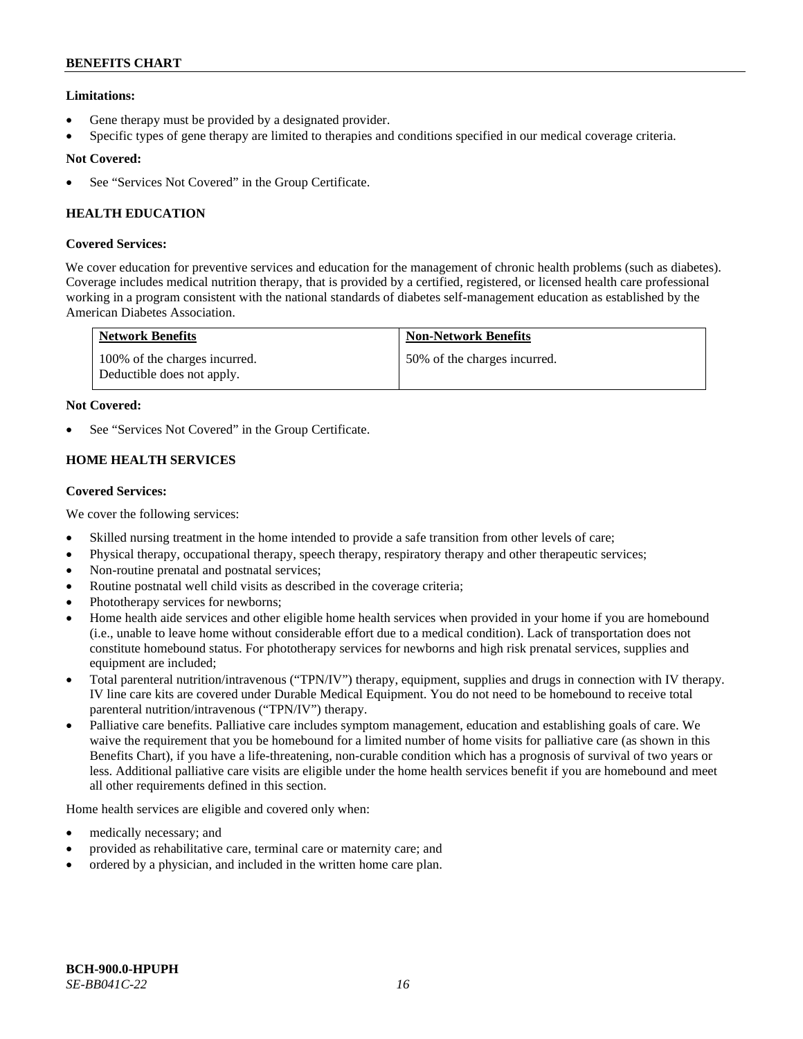# **Limitations:**

- Gene therapy must be provided by a designated provider.
- Specific types of gene therapy are limited to therapies and conditions specified in our medical coverage criteria.

# **Not Covered:**

See "Services Not Covered" in the Group Certificate.

# **HEALTH EDUCATION**

# **Covered Services:**

We cover education for preventive services and education for the management of chronic health problems (such as diabetes). Coverage includes medical nutrition therapy, that is provided by a certified, registered, or licensed health care professional working in a program consistent with the national standards of diabetes self-management education as established by the American Diabetes Association.

| <b>Network Benefits</b>                                     | <b>Non-Network Benefits</b>  |
|-------------------------------------------------------------|------------------------------|
| 100% of the charges incurred.<br>Deductible does not apply. | 50% of the charges incurred. |

# **Not Covered:**

See "Services Not Covered" in the Group Certificate.

# **HOME HEALTH SERVICES**

### **Covered Services:**

We cover the following services:

- Skilled nursing treatment in the home intended to provide a safe transition from other levels of care;
- Physical therapy, occupational therapy, speech therapy, respiratory therapy and other therapeutic services;
- Non-routine prenatal and postnatal services;
- Routine postnatal well child visits as described in the coverage criteria;
- Phototherapy services for newborns;
- Home health aide services and other eligible home health services when provided in your home if you are homebound (i.e., unable to leave home without considerable effort due to a medical condition). Lack of transportation does not constitute homebound status. For phototherapy services for newborns and high risk prenatal services, supplies and equipment are included;
- Total parenteral nutrition/intravenous ("TPN/IV") therapy, equipment, supplies and drugs in connection with IV therapy. IV line care kits are covered under Durable Medical Equipment. You do not need to be homebound to receive total parenteral nutrition/intravenous ("TPN/IV") therapy.
- Palliative care benefits. Palliative care includes symptom management, education and establishing goals of care. We waive the requirement that you be homebound for a limited number of home visits for palliative care (as shown in this Benefits Chart), if you have a life-threatening, non-curable condition which has a prognosis of survival of two years or less. Additional palliative care visits are eligible under the home health services benefit if you are homebound and meet all other requirements defined in this section.

Home health services are eligible and covered only when:

- medically necessary; and
- provided as rehabilitative care, terminal care or maternity care; and
- ordered by a physician, and included in the written home care plan.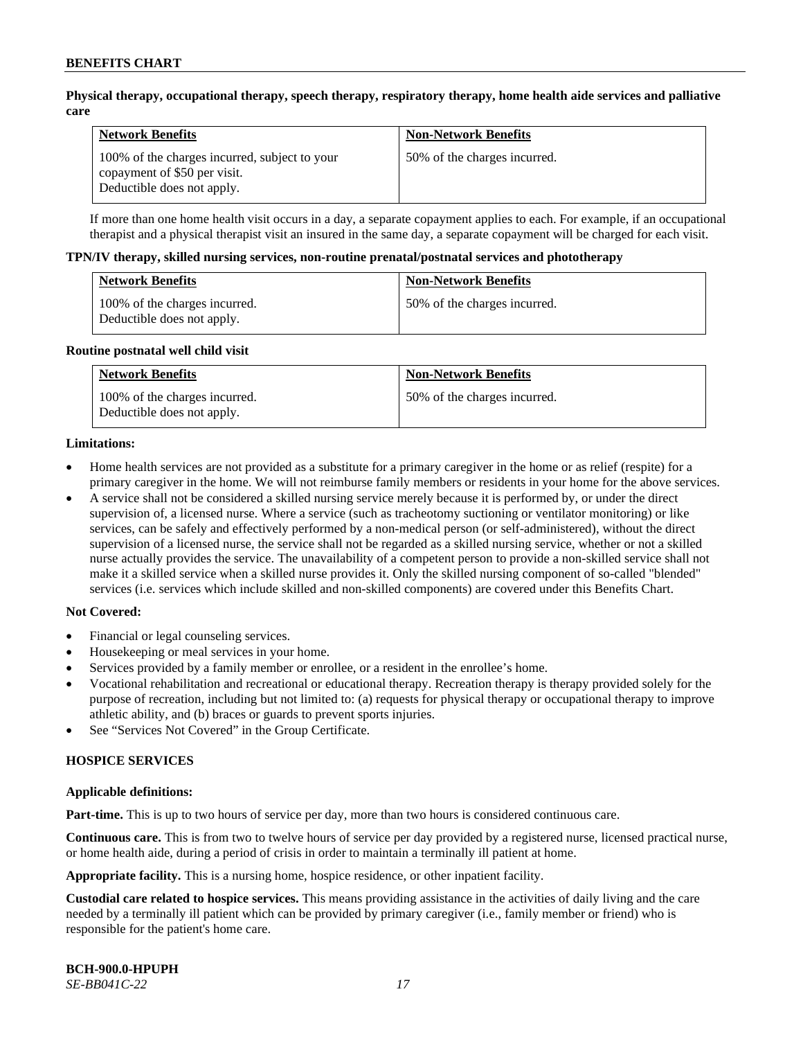### **Physical therapy, occupational therapy, speech therapy, respiratory therapy, home health aide services and palliative care**

| <b>Network Benefits</b>                                                                                     | <b>Non-Network Benefits</b>  |
|-------------------------------------------------------------------------------------------------------------|------------------------------|
| 100% of the charges incurred, subject to your<br>copayment of \$50 per visit.<br>Deductible does not apply. | 50% of the charges incurred. |

If more than one home health visit occurs in a day, a separate copayment applies to each. For example, if an occupational therapist and a physical therapist visit an insured in the same day, a separate copayment will be charged for each visit.

#### **TPN/IV therapy, skilled nursing services, non-routine prenatal/postnatal services and phototherapy**

| <b>Network Benefits</b>                                     | <b>Non-Network Benefits</b>  |
|-------------------------------------------------------------|------------------------------|
| 100% of the charges incurred.<br>Deductible does not apply. | 50% of the charges incurred. |

#### **Routine postnatal well child visit**

| <b>Network Benefits</b>                                     | <b>Non-Network Benefits</b>  |
|-------------------------------------------------------------|------------------------------|
| 100% of the charges incurred.<br>Deductible does not apply. | 50% of the charges incurred. |

#### **Limitations:**

- Home health services are not provided as a substitute for a primary caregiver in the home or as relief (respite) for a primary caregiver in the home. We will not reimburse family members or residents in your home for the above services.
- A service shall not be considered a skilled nursing service merely because it is performed by, or under the direct supervision of, a licensed nurse. Where a service (such as tracheotomy suctioning or ventilator monitoring) or like services, can be safely and effectively performed by a non-medical person (or self-administered), without the direct supervision of a licensed nurse, the service shall not be regarded as a skilled nursing service, whether or not a skilled nurse actually provides the service. The unavailability of a competent person to provide a non-skilled service shall not make it a skilled service when a skilled nurse provides it. Only the skilled nursing component of so-called "blended" services (i.e. services which include skilled and non-skilled components) are covered under this Benefits Chart.

#### **Not Covered:**

- Financial or legal counseling services.
- Housekeeping or meal services in your home.
- Services provided by a family member or enrollee, or a resident in the enrollee's home.
- Vocational rehabilitation and recreational or educational therapy. Recreation therapy is therapy provided solely for the purpose of recreation, including but not limited to: (a) requests for physical therapy or occupational therapy to improve athletic ability, and (b) braces or guards to prevent sports injuries.
- See "Services Not Covered" in the Group Certificate.

# **HOSPICE SERVICES**

#### **Applicable definitions:**

**Part-time.** This is up to two hours of service per day, more than two hours is considered continuous care.

**Continuous care.** This is from two to twelve hours of service per day provided by a registered nurse, licensed practical nurse, or home health aide, during a period of crisis in order to maintain a terminally ill patient at home.

**Appropriate facility.** This is a nursing home, hospice residence, or other inpatient facility.

**Custodial care related to hospice services.** This means providing assistance in the activities of daily living and the care needed by a terminally ill patient which can be provided by primary caregiver (i.e., family member or friend) who is responsible for the patient's home care.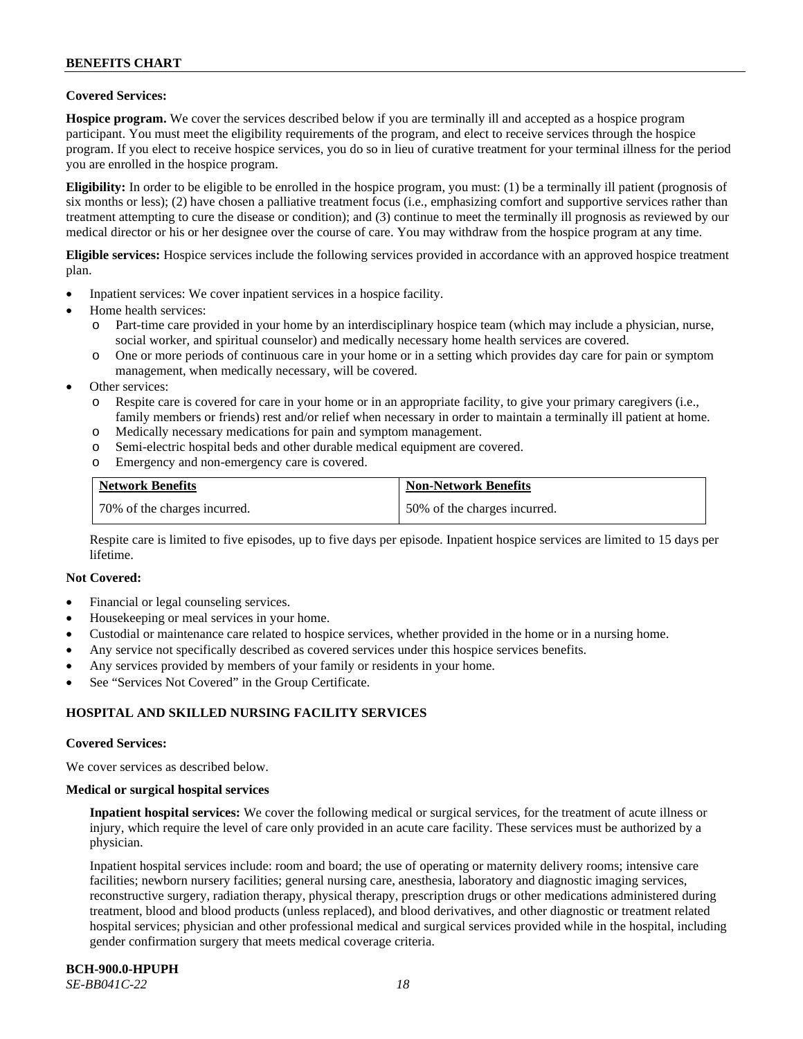### **Covered Services:**

**Hospice program.** We cover the services described below if you are terminally ill and accepted as a hospice program participant. You must meet the eligibility requirements of the program, and elect to receive services through the hospice program. If you elect to receive hospice services, you do so in lieu of curative treatment for your terminal illness for the period you are enrolled in the hospice program.

**Eligibility:** In order to be eligible to be enrolled in the hospice program, you must: (1) be a terminally ill patient (prognosis of six months or less); (2) have chosen a palliative treatment focus (i.e., emphasizing comfort and supportive services rather than treatment attempting to cure the disease or condition); and (3) continue to meet the terminally ill prognosis as reviewed by our medical director or his or her designee over the course of care. You may withdraw from the hospice program at any time.

**Eligible services:** Hospice services include the following services provided in accordance with an approved hospice treatment plan.

- Inpatient services: We cover inpatient services in a hospice facility.
- Home health services:
	- o Part-time care provided in your home by an interdisciplinary hospice team (which may include a physician, nurse, social worker, and spiritual counselor) and medically necessary home health services are covered.
	- One or more periods of continuous care in your home or in a setting which provides day care for pain or symptom management, when medically necessary, will be covered.
- Other services:
	- o Respite care is covered for care in your home or in an appropriate facility, to give your primary caregivers (i.e., family members or friends) rest and/or relief when necessary in order to maintain a terminally ill patient at home.
	- o Medically necessary medications for pain and symptom management.
	- o Semi-electric hospital beds and other durable medical equipment are covered.
	- o Emergency and non-emergency care is covered.

| <b>Network Benefits</b>      | <b>Non-Network Benefits</b>  |
|------------------------------|------------------------------|
| 70% of the charges incurred. | 50% of the charges incurred. |

Respite care is limited to five episodes, up to five days per episode. Inpatient hospice services are limited to 15 days per lifetime.

#### **Not Covered:**

- Financial or legal counseling services.
- Housekeeping or meal services in your home.
- Custodial or maintenance care related to hospice services, whether provided in the home or in a nursing home.
- Any service not specifically described as covered services under this hospice services benefits.
- Any services provided by members of your family or residents in your home.
- See "Services Not Covered" in the Group Certificate.

# **HOSPITAL AND SKILLED NURSING FACILITY SERVICES**

#### **Covered Services:**

We cover services as described below.

#### **Medical or surgical hospital services**

**Inpatient hospital services:** We cover the following medical or surgical services, for the treatment of acute illness or injury, which require the level of care only provided in an acute care facility. These services must be authorized by a physician.

Inpatient hospital services include: room and board; the use of operating or maternity delivery rooms; intensive care facilities; newborn nursery facilities; general nursing care, anesthesia, laboratory and diagnostic imaging services, reconstructive surgery, radiation therapy, physical therapy, prescription drugs or other medications administered during treatment, blood and blood products (unless replaced), and blood derivatives, and other diagnostic or treatment related hospital services; physician and other professional medical and surgical services provided while in the hospital, including gender confirmation surgery that meets medical coverage criteria.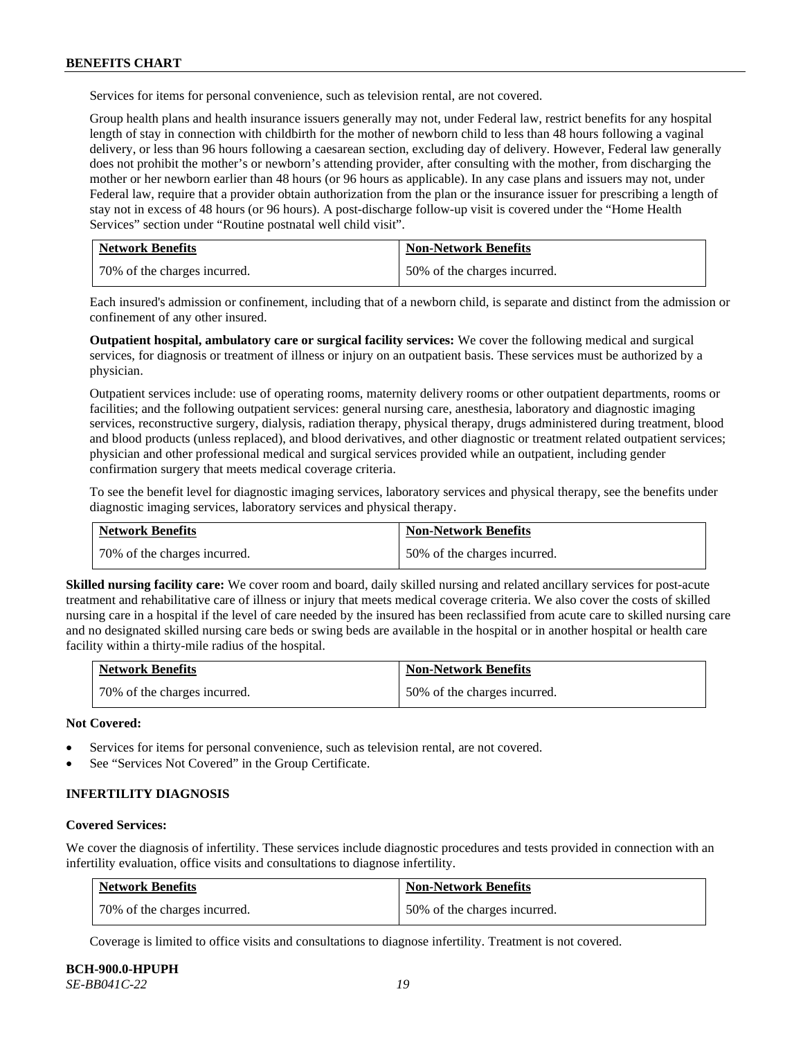Services for items for personal convenience, such as television rental, are not covered.

Group health plans and health insurance issuers generally may not, under Federal law, restrict benefits for any hospital length of stay in connection with childbirth for the mother of newborn child to less than 48 hours following a vaginal delivery, or less than 96 hours following a caesarean section, excluding day of delivery. However, Federal law generally does not prohibit the mother's or newborn's attending provider, after consulting with the mother, from discharging the mother or her newborn earlier than 48 hours (or 96 hours as applicable). In any case plans and issuers may not, under Federal law, require that a provider obtain authorization from the plan or the insurance issuer for prescribing a length of stay not in excess of 48 hours (or 96 hours). A post-discharge follow-up visit is covered under the "Home Health Services" section under "Routine postnatal well child visit".

| <b>Network Benefits</b>      | <b>Non-Network Benefits</b>  |
|------------------------------|------------------------------|
| 70% of the charges incurred. | 50% of the charges incurred. |

Each insured's admission or confinement, including that of a newborn child, is separate and distinct from the admission or confinement of any other insured.

**Outpatient hospital, ambulatory care or surgical facility services:** We cover the following medical and surgical services, for diagnosis or treatment of illness or injury on an outpatient basis. These services must be authorized by a physician.

Outpatient services include: use of operating rooms, maternity delivery rooms or other outpatient departments, rooms or facilities; and the following outpatient services: general nursing care, anesthesia, laboratory and diagnostic imaging services, reconstructive surgery, dialysis, radiation therapy, physical therapy, drugs administered during treatment, blood and blood products (unless replaced), and blood derivatives, and other diagnostic or treatment related outpatient services; physician and other professional medical and surgical services provided while an outpatient, including gender confirmation surgery that meets medical coverage criteria.

To see the benefit level for diagnostic imaging services, laboratory services and physical therapy, see the benefits under diagnostic imaging services, laboratory services and physical therapy.

| <b>Network Benefits</b>      | <b>Non-Network Benefits</b>  |
|------------------------------|------------------------------|
| 70% of the charges incurred. | 50% of the charges incurred. |

**Skilled nursing facility care:** We cover room and board, daily skilled nursing and related ancillary services for post-acute treatment and rehabilitative care of illness or injury that meets medical coverage criteria. We also cover the costs of skilled nursing care in a hospital if the level of care needed by the insured has been reclassified from acute care to skilled nursing care and no designated skilled nursing care beds or swing beds are available in the hospital or in another hospital or health care facility within a thirty-mile radius of the hospital.

| <b>Network Benefits</b>      | <b>Non-Network Benefits</b>  |
|------------------------------|------------------------------|
| 70% of the charges incurred. | 50% of the charges incurred. |

**Not Covered:**

- Services for items for personal convenience, such as television rental, are not covered.
- See "Services Not Covered" in the Group Certificate.

### **INFERTILITY DIAGNOSIS**

#### **Covered Services:**

We cover the diagnosis of infertility. These services include diagnostic procedures and tests provided in connection with an infertility evaluation, office visits and consultations to diagnose infertility.

| <b>Network Benefits</b>      | <b>Non-Network Benefits</b>  |
|------------------------------|------------------------------|
| 70% of the charges incurred. | 50% of the charges incurred. |

Coverage is limited to office visits and consultations to diagnose infertility. Treatment is not covered.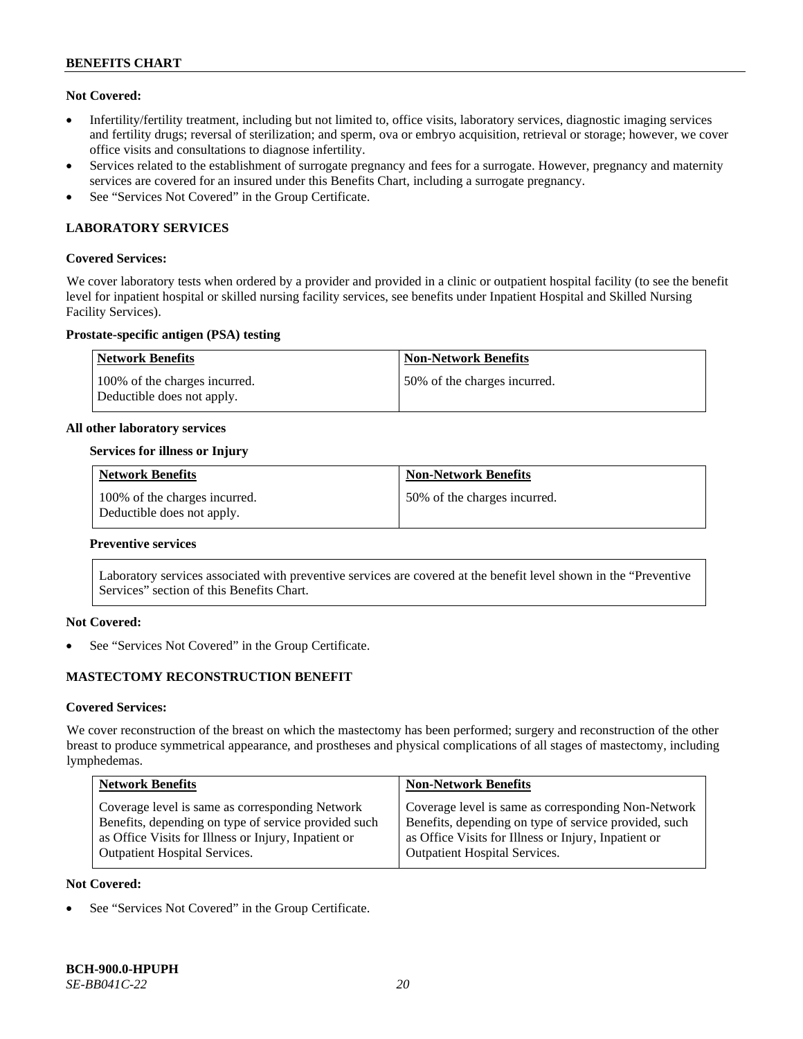### **Not Covered:**

- Infertility/fertility treatment, including but not limited to, office visits, laboratory services, diagnostic imaging services and fertility drugs; reversal of sterilization; and sperm, ova or embryo acquisition, retrieval or storage; however, we cover office visits and consultations to diagnose infertility.
- Services related to the establishment of surrogate pregnancy and fees for a surrogate. However, pregnancy and maternity services are covered for an insured under this Benefits Chart, including a surrogate pregnancy.
- See "Services Not Covered" in the Group Certificate.

# **LABORATORY SERVICES**

#### **Covered Services:**

We cover laboratory tests when ordered by a provider and provided in a clinic or outpatient hospital facility (to see the benefit level for inpatient hospital or skilled nursing facility services, see benefits under Inpatient Hospital and Skilled Nursing Facility Services).

### **Prostate-specific antigen (PSA) testing**

| <b>Network Benefits</b>                                     | <b>Non-Network Benefits</b>  |
|-------------------------------------------------------------|------------------------------|
| 100% of the charges incurred.<br>Deductible does not apply. | 50% of the charges incurred. |

#### **All other laboratory services**

### **Services for illness or Injury**

| <b>Network Benefits</b>                                     | <b>Non-Network Benefits</b>  |
|-------------------------------------------------------------|------------------------------|
| 100% of the charges incurred.<br>Deductible does not apply. | 50% of the charges incurred. |

#### **Preventive services**

Laboratory services associated with preventive services are covered at the benefit level shown in the "Preventive Services" section of this Benefits Chart.

# **Not Covered:**

See "Services Not Covered" in the Group Certificate.

# **MASTECTOMY RECONSTRUCTION BENEFIT**

#### **Covered Services:**

We cover reconstruction of the breast on which the mastectomy has been performed; surgery and reconstruction of the other breast to produce symmetrical appearance, and prostheses and physical complications of all stages of mastectomy, including lymphedemas.

| <b>Non-Network Benefits</b>                                                                                                                                                                                  |
|--------------------------------------------------------------------------------------------------------------------------------------------------------------------------------------------------------------|
| Coverage level is same as corresponding Non-Network<br>Benefits, depending on type of service provided, such<br>as Office Visits for Illness or Injury, Inpatient or<br><b>Outpatient Hospital Services.</b> |
|                                                                                                                                                                                                              |

#### **Not Covered:**

See "Services Not Covered" in the Group Certificate.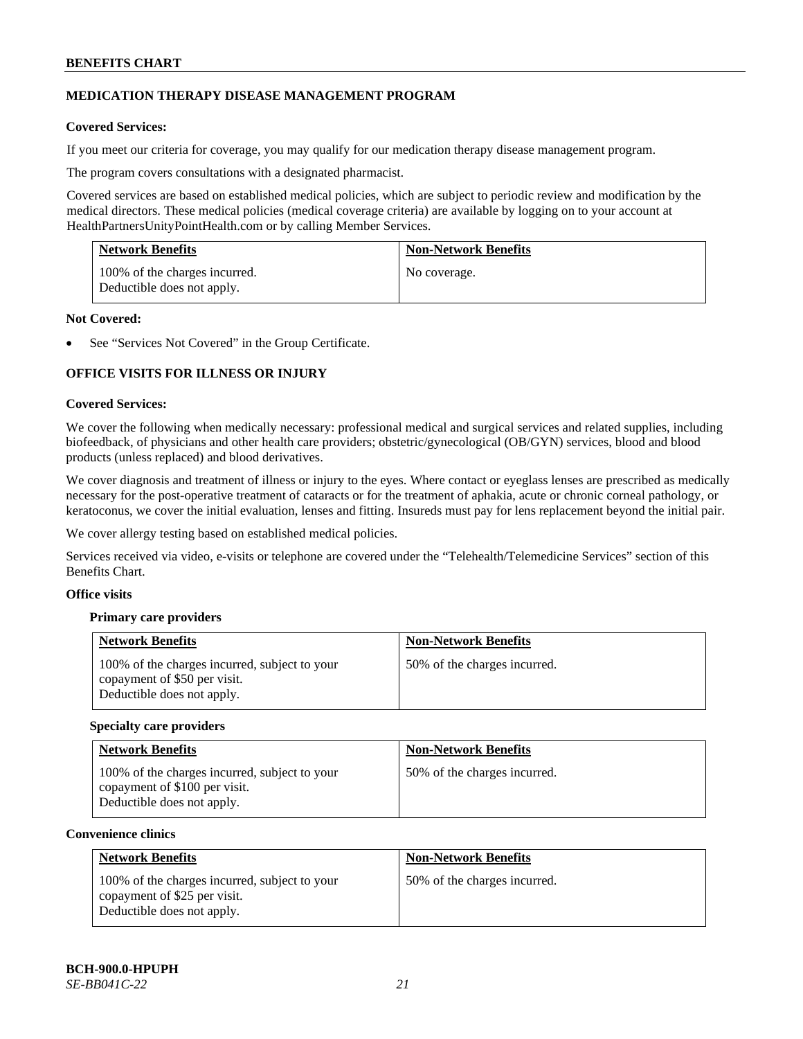# **MEDICATION THERAPY DISEASE MANAGEMENT PROGRAM**

# **Covered Services:**

If you meet our criteria for coverage, you may qualify for our medication therapy disease management program.

The program covers consultations with a designated pharmacist.

Covered services are based on established medical policies, which are subject to periodic review and modification by the medical directors. These medical policies (medical coverage criteria) are available by logging on to your account at [HealthPartnersUnityPointHealth.com](https://www.healthpartnersunitypointhealth.com/) or by calling Member Services.

| <b>Network Benefits</b>                                     | <b>Non-Network Benefits</b> |
|-------------------------------------------------------------|-----------------------------|
| 100% of the charges incurred.<br>Deductible does not apply. | No coverage.                |

### **Not Covered:**

See "Services Not Covered" in the Group Certificate.

# **OFFICE VISITS FOR ILLNESS OR INJURY**

### **Covered Services:**

We cover the following when medically necessary: professional medical and surgical services and related supplies, including biofeedback, of physicians and other health care providers; obstetric/gynecological (OB/GYN) services, blood and blood products (unless replaced) and blood derivatives.

We cover diagnosis and treatment of illness or injury to the eyes. Where contact or eyeglass lenses are prescribed as medically necessary for the post-operative treatment of cataracts or for the treatment of aphakia, acute or chronic corneal pathology, or keratoconus, we cover the initial evaluation, lenses and fitting. Insureds must pay for lens replacement beyond the initial pair.

We cover allergy testing based on established medical policies.

Services received via video, e-visits or telephone are covered under the "Telehealth/Telemedicine Services" section of this Benefits Chart.

# **Office visits**

# **Primary care providers**

| <b>Network Benefits</b>                                                                                     | <b>Non-Network Benefits</b>  |
|-------------------------------------------------------------------------------------------------------------|------------------------------|
| 100% of the charges incurred, subject to your<br>copayment of \$50 per visit.<br>Deductible does not apply. | 50% of the charges incurred. |

#### **Specialty care providers**

| <b>Network Benefits</b>                                                                                      | <b>Non-Network Benefits</b>  |
|--------------------------------------------------------------------------------------------------------------|------------------------------|
| 100% of the charges incurred, subject to your<br>copayment of \$100 per visit.<br>Deductible does not apply. | 50% of the charges incurred. |

#### **Convenience clinics**

| <b>Network Benefits</b>                                                                                     | <b>Non-Network Benefits</b>  |
|-------------------------------------------------------------------------------------------------------------|------------------------------|
| 100% of the charges incurred, subject to your<br>copayment of \$25 per visit.<br>Deductible does not apply. | 50% of the charges incurred. |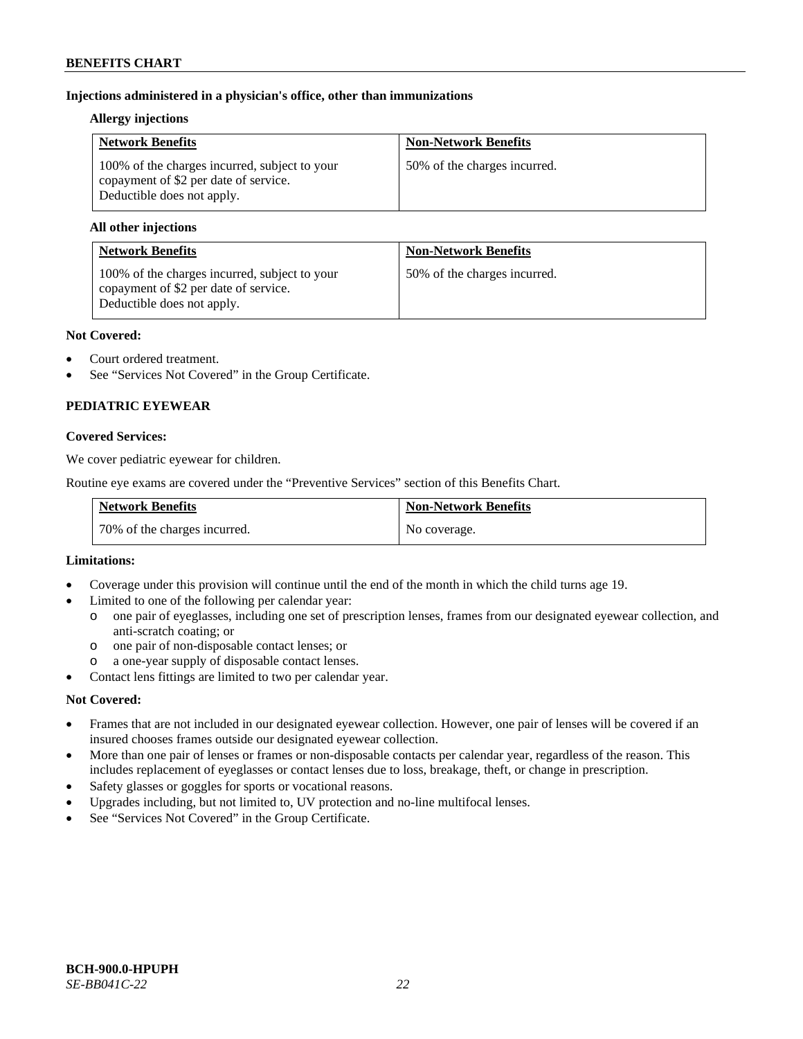# **Injections administered in a physician's office, other than immunizations**

### **Allergy injections**

| <b>Network Benefits</b>                                                                                              | <b>Non-Network Benefits</b>  |
|----------------------------------------------------------------------------------------------------------------------|------------------------------|
| 100% of the charges incurred, subject to your<br>copayment of \$2 per date of service.<br>Deductible does not apply. | 50% of the charges incurred. |

### **All other injections**

| <b>Network Benefits</b>                                                                                              | <b>Non-Network Benefits</b>  |
|----------------------------------------------------------------------------------------------------------------------|------------------------------|
| 100% of the charges incurred, subject to your<br>copayment of \$2 per date of service.<br>Deductible does not apply. | 50% of the charges incurred. |

### **Not Covered:**

- Court ordered treatment.
- See "Services Not Covered" in the Group Certificate.

# **PEDIATRIC EYEWEAR**

### **Covered Services:**

We cover pediatric eyewear for children.

Routine eye exams are covered under the "Preventive Services" section of this Benefits Chart.

| <b>Network Benefits</b>      | <b>Non-Network Benefits</b> |
|------------------------------|-----------------------------|
| 70% of the charges incurred. | No coverage.                |

#### **Limitations:**

- Coverage under this provision will continue until the end of the month in which the child turns age 19.
- Limited to one of the following per calendar year:
	- o one pair of eyeglasses, including one set of prescription lenses, frames from our designated eyewear collection, and anti-scratch coating; or
	- o one pair of non-disposable contact lenses; or
	- a one-year supply of disposable contact lenses.
- Contact lens fittings are limited to two per calendar year.

# **Not Covered:**

- Frames that are not included in our designated eyewear collection. However, one pair of lenses will be covered if an insured chooses frames outside our designated eyewear collection.
- More than one pair of lenses or frames or non-disposable contacts per calendar year, regardless of the reason. This includes replacement of eyeglasses or contact lenses due to loss, breakage, theft, or change in prescription.
- Safety glasses or goggles for sports or vocational reasons.
- Upgrades including, but not limited to, UV protection and no-line multifocal lenses.
- See "Services Not Covered" in the Group Certificate.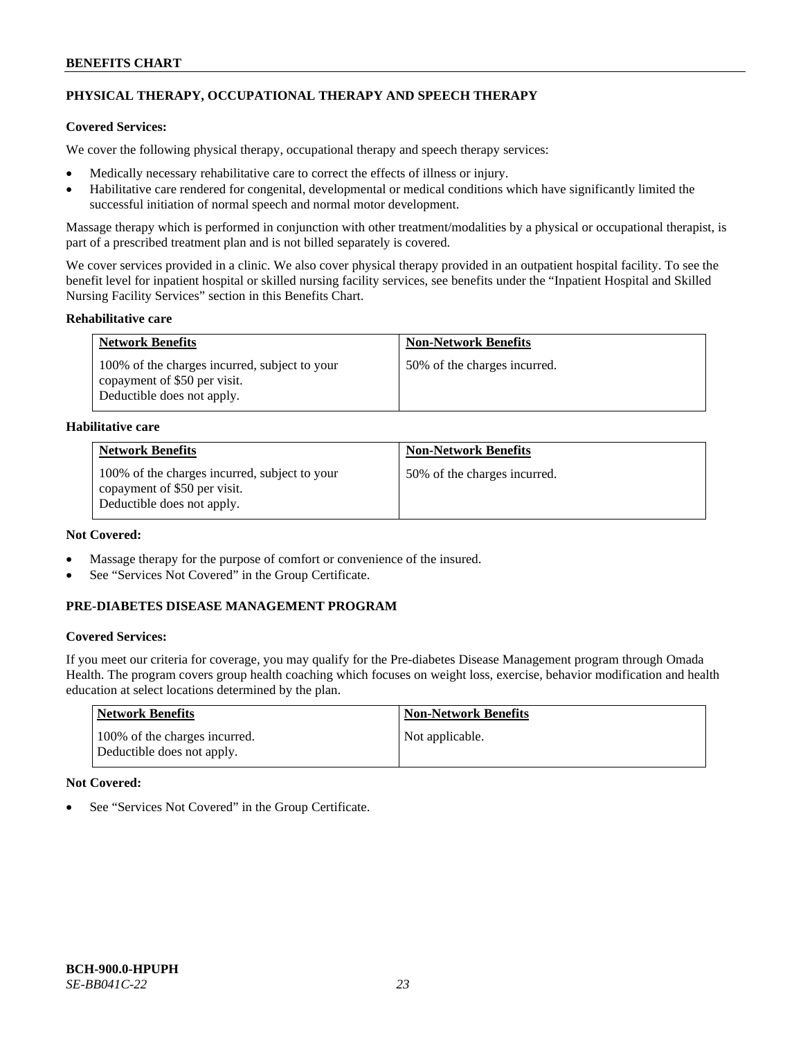# **PHYSICAL THERAPY, OCCUPATIONAL THERAPY AND SPEECH THERAPY**

# **Covered Services:**

We cover the following physical therapy, occupational therapy and speech therapy services:

- Medically necessary rehabilitative care to correct the effects of illness or injury.
- Habilitative care rendered for congenital, developmental or medical conditions which have significantly limited the successful initiation of normal speech and normal motor development.

Massage therapy which is performed in conjunction with other treatment/modalities by a physical or occupational therapist, is part of a prescribed treatment plan and is not billed separately is covered.

We cover services provided in a clinic. We also cover physical therapy provided in an outpatient hospital facility. To see the benefit level for inpatient hospital or skilled nursing facility services, see benefits under the "Inpatient Hospital and Skilled Nursing Facility Services" section in this Benefits Chart.

### **Rehabilitative care**

| <b>Network Benefits</b>                                                                                     | <b>Non-Network Benefits</b>  |
|-------------------------------------------------------------------------------------------------------------|------------------------------|
| 100% of the charges incurred, subject to your<br>copayment of \$50 per visit.<br>Deductible does not apply. | 50% of the charges incurred. |

### **Habilitative care**

| <b>Network Benefits</b>                                                                                     | <b>Non-Network Benefits</b>  |
|-------------------------------------------------------------------------------------------------------------|------------------------------|
| 100% of the charges incurred, subject to your<br>copayment of \$50 per visit.<br>Deductible does not apply. | 50% of the charges incurred. |

# **Not Covered:**

- Massage therapy for the purpose of comfort or convenience of the insured.
- See "Services Not Covered" in the Group Certificate.

# **PRE-DIABETES DISEASE MANAGEMENT PROGRAM**

# **Covered Services:**

If you meet our criteria for coverage, you may qualify for the Pre-diabetes Disease Management program through Omada Health. The program covers group health coaching which focuses on weight loss, exercise, behavior modification and health education at select locations determined by the plan.

| Network Benefits                                            | <b>Non-Network Benefits</b> |
|-------------------------------------------------------------|-----------------------------|
| 100% of the charges incurred.<br>Deductible does not apply. | Not applicable.             |

# **Not Covered:**

See "Services Not Covered" in the Group Certificate.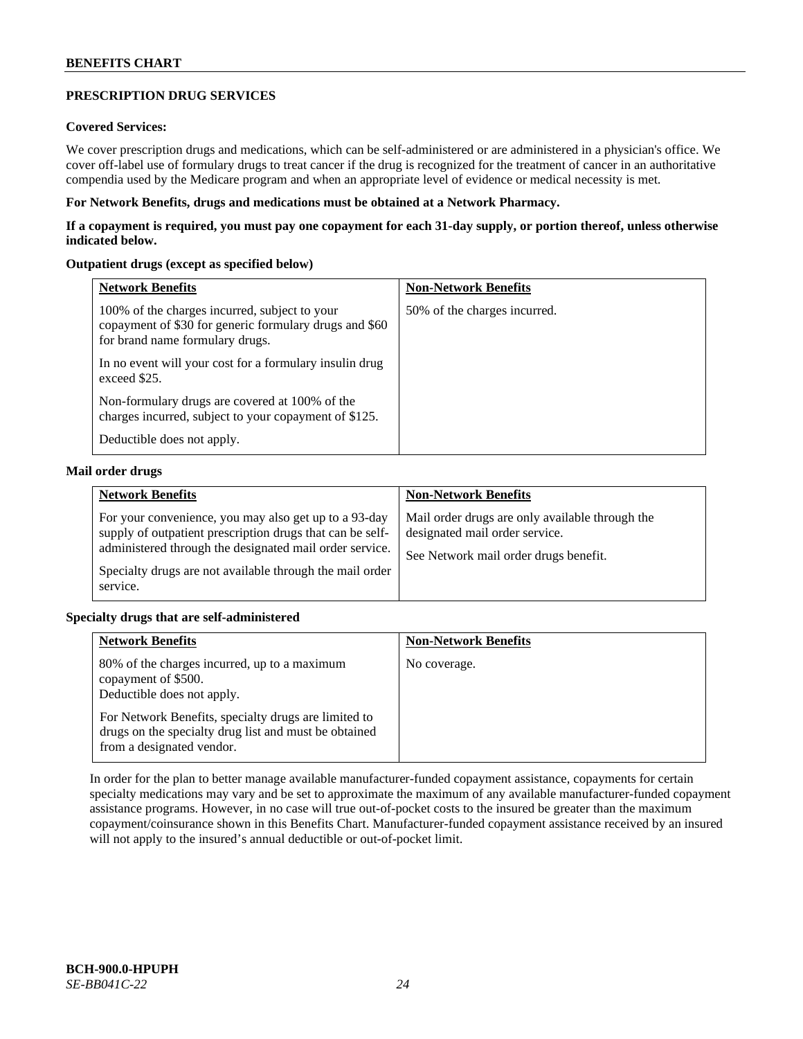# **PRESCRIPTION DRUG SERVICES**

# **Covered Services:**

We cover prescription drugs and medications, which can be self-administered or are administered in a physician's office. We cover off-label use of formulary drugs to treat cancer if the drug is recognized for the treatment of cancer in an authoritative compendia used by the Medicare program and when an appropriate level of evidence or medical necessity is met.

### **For Network Benefits, drugs and medications must be obtained at a Network Pharmacy.**

**If a copayment is required, you must pay one copayment for each 31-day supply, or portion thereof, unless otherwise indicated below.**

### **Outpatient drugs (except as specified below)**

| <b>Network Benefits</b>                                                                                                                    | <b>Non-Network Benefits</b>  |
|--------------------------------------------------------------------------------------------------------------------------------------------|------------------------------|
| 100% of the charges incurred, subject to your<br>copayment of \$30 for generic formulary drugs and \$60<br>for brand name formulary drugs. | 50% of the charges incurred. |
| In no event will your cost for a formulary insulin drug<br>exceed \$25.                                                                    |                              |
| Non-formulary drugs are covered at 100% of the<br>charges incurred, subject to your copayment of \$125.                                    |                              |
| Deductible does not apply.                                                                                                                 |                              |

### **Mail order drugs**

| <b>Network Benefits</b>                                                                                                                                                                                                                               | <b>Non-Network Benefits</b>                                                                                                |
|-------------------------------------------------------------------------------------------------------------------------------------------------------------------------------------------------------------------------------------------------------|----------------------------------------------------------------------------------------------------------------------------|
| For your convenience, you may also get up to a 93-day<br>supply of outpatient prescription drugs that can be self-<br>administered through the designated mail order service.<br>Specialty drugs are not available through the mail order<br>service. | Mail order drugs are only available through the<br>designated mail order service.<br>See Network mail order drugs benefit. |

# **Specialty drugs that are self-administered**

| <b>Network Benefits</b>                                                                                                                    | <b>Non-Network Benefits</b> |
|--------------------------------------------------------------------------------------------------------------------------------------------|-----------------------------|
| 80% of the charges incurred, up to a maximum<br>copayment of \$500.<br>Deductible does not apply.                                          | No coverage.                |
| For Network Benefits, specialty drugs are limited to<br>drugs on the specialty drug list and must be obtained<br>from a designated vendor. |                             |

In order for the plan to better manage available manufacturer-funded copayment assistance, copayments for certain specialty medications may vary and be set to approximate the maximum of any available manufacturer-funded copayment assistance programs. However, in no case will true out-of-pocket costs to the insured be greater than the maximum copayment/coinsurance shown in this Benefits Chart. Manufacturer-funded copayment assistance received by an insured will not apply to the insured's annual deductible or out-of-pocket limit.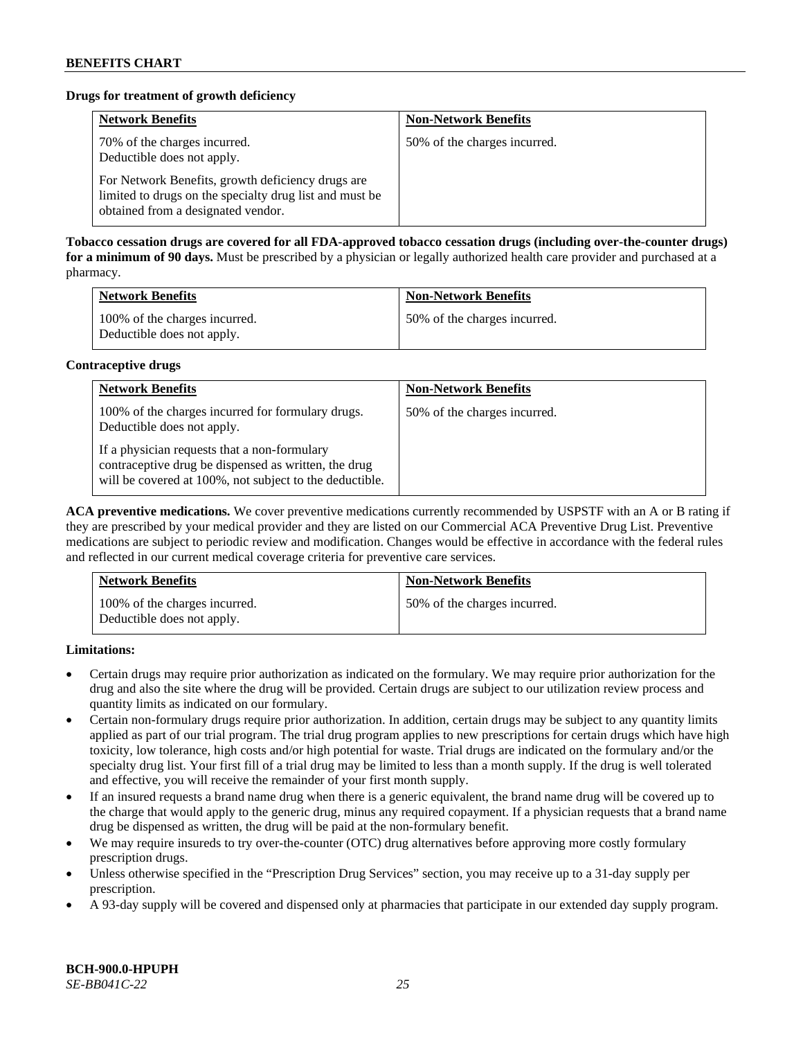# **Drugs for treatment of growth deficiency**

| <b>Network Benefits</b>                                                                                                                            | <b>Non-Network Benefits</b>  |
|----------------------------------------------------------------------------------------------------------------------------------------------------|------------------------------|
| 70% of the charges incurred.<br>Deductible does not apply.                                                                                         | 50% of the charges incurred. |
| For Network Benefits, growth deficiency drugs are<br>limited to drugs on the specialty drug list and must be<br>obtained from a designated vendor. |                              |

**Tobacco cessation drugs are covered for all FDA-approved tobacco cessation drugs (including over-the-counter drugs) for a minimum of 90 days.** Must be prescribed by a physician or legally authorized health care provider and purchased at a pharmacy.

| <b>Network Benefits</b>                                     | <b>Non-Network Benefits</b>  |
|-------------------------------------------------------------|------------------------------|
| 100% of the charges incurred.<br>Deductible does not apply. | 50% of the charges incurred. |

### **Contraceptive drugs**

| <b>Network Benefits</b>                                                                                                                                         | <b>Non-Network Benefits</b>  |
|-----------------------------------------------------------------------------------------------------------------------------------------------------------------|------------------------------|
| 100% of the charges incurred for formulary drugs.<br>Deductible does not apply.                                                                                 | 50% of the charges incurred. |
| If a physician requests that a non-formulary<br>contraceptive drug be dispensed as written, the drug<br>will be covered at 100%, not subject to the deductible. |                              |

**ACA preventive medications.** We cover preventive medications currently recommended by USPSTF with an A or B rating if they are prescribed by your medical provider and they are listed on our Commercial ACA Preventive Drug List. Preventive medications are subject to periodic review and modification. Changes would be effective in accordance with the federal rules and reflected in our current medical coverage criteria for preventive care services.

| <b>Network Benefits</b>                                     | <b>Non-Network Benefits</b>  |
|-------------------------------------------------------------|------------------------------|
| 100% of the charges incurred.<br>Deductible does not apply. | 50% of the charges incurred. |

**Limitations:**

- Certain drugs may require prior authorization as indicated on the formulary. We may require prior authorization for the drug and also the site where the drug will be provided. Certain drugs are subject to our utilization review process and quantity limits as indicated on our formulary.
- Certain non-formulary drugs require prior authorization. In addition, certain drugs may be subject to any quantity limits applied as part of our trial program. The trial drug program applies to new prescriptions for certain drugs which have high toxicity, low tolerance, high costs and/or high potential for waste. Trial drugs are indicated on the formulary and/or the specialty drug list. Your first fill of a trial drug may be limited to less than a month supply. If the drug is well tolerated and effective, you will receive the remainder of your first month supply.
- If an insured requests a brand name drug when there is a generic equivalent, the brand name drug will be covered up to the charge that would apply to the generic drug, minus any required copayment. If a physician requests that a brand name drug be dispensed as written, the drug will be paid at the non-formulary benefit.
- We may require insureds to try over-the-counter (OTC) drug alternatives before approving more costly formulary prescription drugs.
- Unless otherwise specified in the "Prescription Drug Services" section, you may receive up to a 31-day supply per prescription.
- A 93-day supply will be covered and dispensed only at pharmacies that participate in our extended day supply program.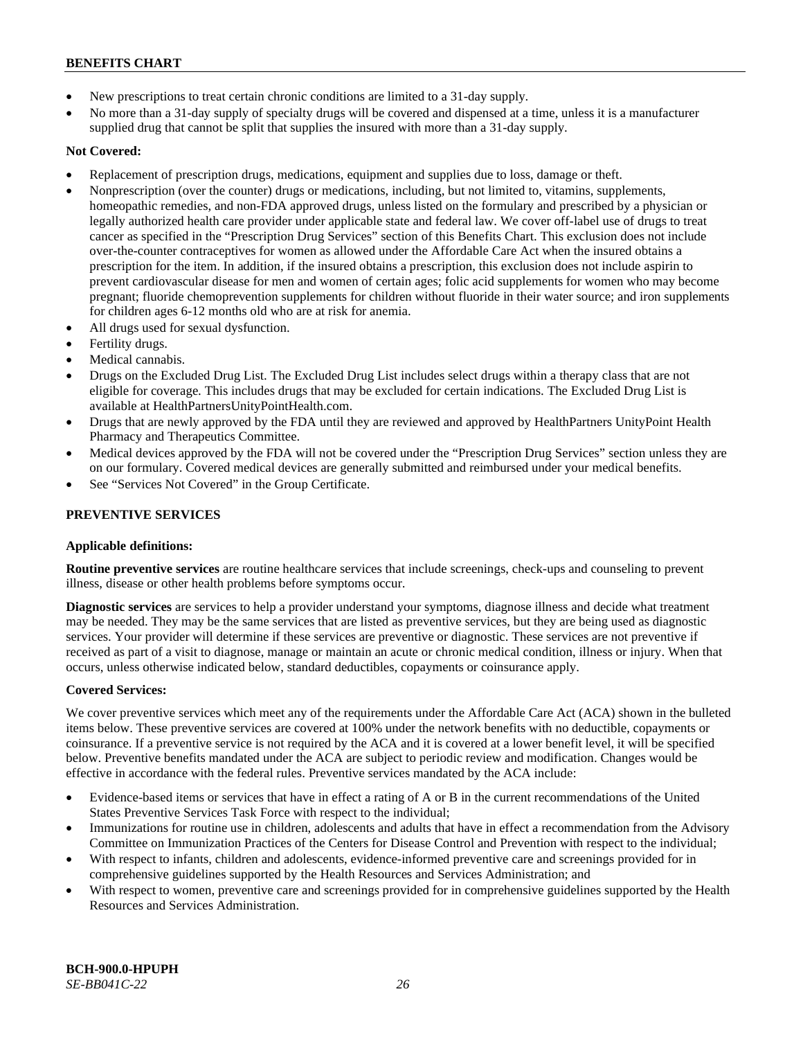- New prescriptions to treat certain chronic conditions are limited to a 31-day supply.
- No more than a 31-day supply of specialty drugs will be covered and dispensed at a time, unless it is a manufacturer supplied drug that cannot be split that supplies the insured with more than a 31-day supply.

# **Not Covered:**

- Replacement of prescription drugs, medications, equipment and supplies due to loss, damage or theft.
- Nonprescription (over the counter) drugs or medications, including, but not limited to, vitamins, supplements, homeopathic remedies, and non-FDA approved drugs, unless listed on the formulary and prescribed by a physician or legally authorized health care provider under applicable state and federal law. We cover off-label use of drugs to treat cancer as specified in the "Prescription Drug Services" section of this Benefits Chart. This exclusion does not include over-the-counter contraceptives for women as allowed under the Affordable Care Act when the insured obtains a prescription for the item. In addition, if the insured obtains a prescription, this exclusion does not include aspirin to prevent cardiovascular disease for men and women of certain ages; folic acid supplements for women who may become pregnant; fluoride chemoprevention supplements for children without fluoride in their water source; and iron supplements for children ages 6-12 months old who are at risk for anemia.
- All drugs used for sexual dysfunction.
- Fertility drugs.
- Medical cannabis.
- Drugs on the Excluded Drug List. The Excluded Drug List includes select drugs within a therapy class that are not eligible for coverage. This includes drugs that may be excluded for certain indications. The Excluded Drug List is available a[t HealthPartnersUnityPointHealth.com.](https://www.healthpartnersunitypointhealth.com/)
- Drugs that are newly approved by the FDA until they are reviewed and approved by HealthPartners UnityPoint Health Pharmacy and Therapeutics Committee.
- Medical devices approved by the FDA will not be covered under the "Prescription Drug Services" section unless they are on our formulary. Covered medical devices are generally submitted and reimbursed under your medical benefits.
- See "Services Not Covered" in the Group Certificate.

# **PREVENTIVE SERVICES**

# **Applicable definitions:**

**Routine preventive services** are routine healthcare services that include screenings, check-ups and counseling to prevent illness, disease or other health problems before symptoms occur.

**Diagnostic services** are services to help a provider understand your symptoms, diagnose illness and decide what treatment may be needed. They may be the same services that are listed as preventive services, but they are being used as diagnostic services. Your provider will determine if these services are preventive or diagnostic. These services are not preventive if received as part of a visit to diagnose, manage or maintain an acute or chronic medical condition, illness or injury. When that occurs, unless otherwise indicated below, standard deductibles, copayments or coinsurance apply.

# **Covered Services:**

We cover preventive services which meet any of the requirements under the Affordable Care Act (ACA) shown in the bulleted items below. These preventive services are covered at 100% under the network benefits with no deductible, copayments or coinsurance. If a preventive service is not required by the ACA and it is covered at a lower benefit level, it will be specified below. Preventive benefits mandated under the ACA are subject to periodic review and modification. Changes would be effective in accordance with the federal rules. Preventive services mandated by the ACA include:

- Evidence-based items or services that have in effect a rating of A or B in the current recommendations of the United States Preventive Services Task Force with respect to the individual;
- Immunizations for routine use in children, adolescents and adults that have in effect a recommendation from the Advisory Committee on Immunization Practices of the Centers for Disease Control and Prevention with respect to the individual;
- With respect to infants, children and adolescents, evidence-informed preventive care and screenings provided for in comprehensive guidelines supported by the Health Resources and Services Administration; and
- With respect to women, preventive care and screenings provided for in comprehensive guidelines supported by the Health Resources and Services Administration.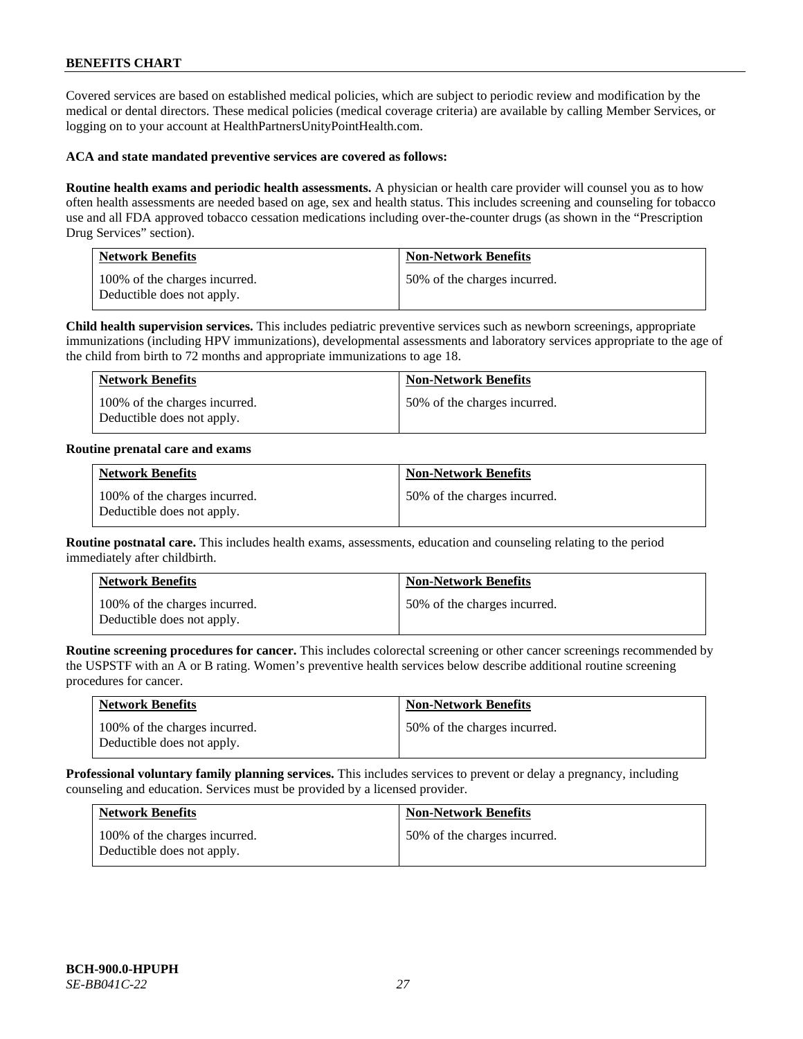Covered services are based on established medical policies, which are subject to periodic review and modification by the medical or dental directors. These medical policies (medical coverage criteria) are available by calling Member Services, or logging on to your account at [HealthPartnersUnityPointHealth.com.](https://www.healthpartnersunitypointhealth.com/)

### **ACA and state mandated preventive services are covered as follows:**

**Routine health exams and periodic health assessments.** A physician or health care provider will counsel you as to how often health assessments are needed based on age, sex and health status. This includes screening and counseling for tobacco use and all FDA approved tobacco cessation medications including over-the-counter drugs (as shown in the "Prescription Drug Services" section).

| <b>Network Benefits</b>                                     | <b>Non-Network Benefits</b>  |
|-------------------------------------------------------------|------------------------------|
| 100% of the charges incurred.<br>Deductible does not apply. | 50% of the charges incurred. |

**Child health supervision services.** This includes pediatric preventive services such as newborn screenings, appropriate immunizations (including HPV immunizations), developmental assessments and laboratory services appropriate to the age of the child from birth to 72 months and appropriate immunizations to age 18.

| <b>Network Benefits</b>                                     | <b>Non-Network Benefits</b>  |
|-------------------------------------------------------------|------------------------------|
| 100% of the charges incurred.<br>Deductible does not apply. | 50% of the charges incurred. |

#### **Routine prenatal care and exams**

| <b>Network Benefits</b>                                     | <b>Non-Network Benefits</b>  |
|-------------------------------------------------------------|------------------------------|
| 100% of the charges incurred.<br>Deductible does not apply. | 50% of the charges incurred. |

**Routine postnatal care.** This includes health exams, assessments, education and counseling relating to the period immediately after childbirth.

| <b>Network Benefits</b>                                     | <b>Non-Network Benefits</b>  |
|-------------------------------------------------------------|------------------------------|
| 100% of the charges incurred.<br>Deductible does not apply. | 50% of the charges incurred. |

**Routine screening procedures for cancer.** This includes colorectal screening or other cancer screenings recommended by the USPSTF with an A or B rating. Women's preventive health services below describe additional routine screening procedures for cancer.

| <b>Network Benefits</b>                                     | <b>Non-Network Benefits</b>  |
|-------------------------------------------------------------|------------------------------|
| 100% of the charges incurred.<br>Deductible does not apply. | 50% of the charges incurred. |

**Professional voluntary family planning services.** This includes services to prevent or delay a pregnancy, including counseling and education. Services must be provided by a licensed provider.

| <b>Network Benefits</b>                                     | <b>Non-Network Benefits</b>  |
|-------------------------------------------------------------|------------------------------|
| 100% of the charges incurred.<br>Deductible does not apply. | 50% of the charges incurred. |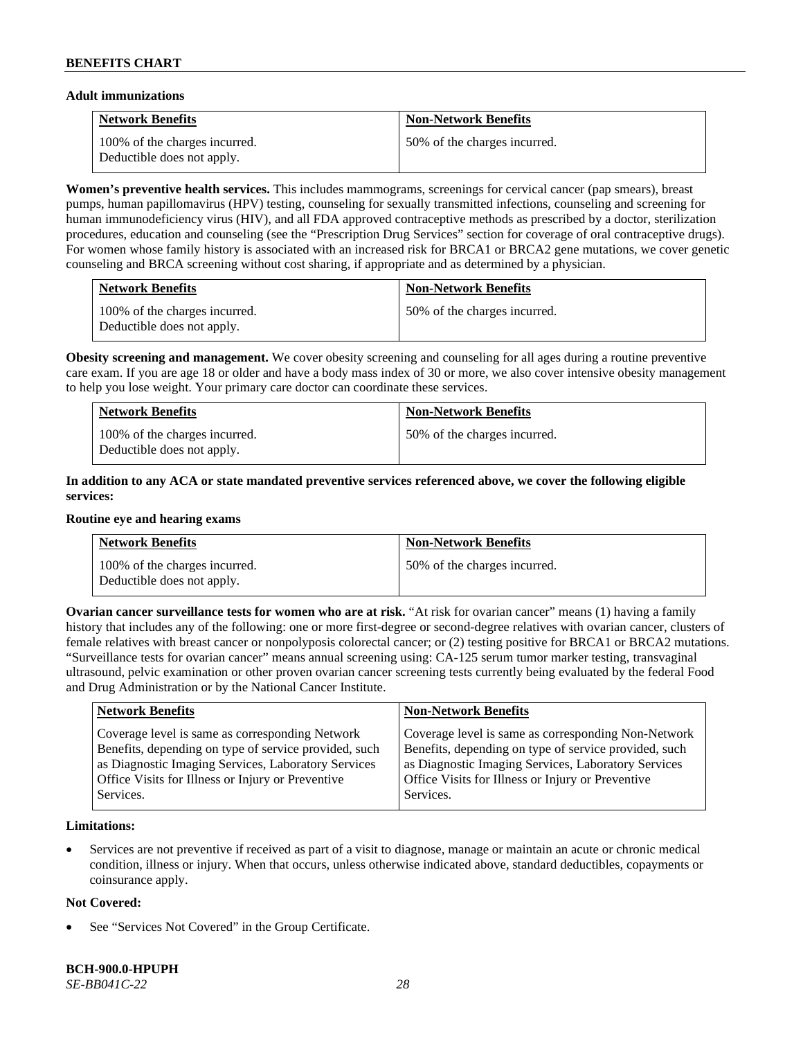### **Adult immunizations**

| <b>Network Benefits</b>                                     | <b>Non-Network Benefits</b>  |
|-------------------------------------------------------------|------------------------------|
| 100% of the charges incurred.<br>Deductible does not apply. | 50% of the charges incurred. |

**Women's preventive health services.** This includes mammograms, screenings for cervical cancer (pap smears), breast pumps, human papillomavirus (HPV) testing, counseling for sexually transmitted infections, counseling and screening for human immunodeficiency virus (HIV), and all FDA approved contraceptive methods as prescribed by a doctor, sterilization procedures, education and counseling (see the "Prescription Drug Services" section for coverage of oral contraceptive drugs). For women whose family history is associated with an increased risk for BRCA1 or BRCA2 gene mutations, we cover genetic counseling and BRCA screening without cost sharing, if appropriate and as determined by a physician.

| <b>Network Benefits</b>                                     | <b>Non-Network Benefits</b>  |
|-------------------------------------------------------------|------------------------------|
| 100% of the charges incurred.<br>Deductible does not apply. | 50% of the charges incurred. |

**Obesity screening and management.** We cover obesity screening and counseling for all ages during a routine preventive care exam. If you are age 18 or older and have a body mass index of 30 or more, we also cover intensive obesity management to help you lose weight. Your primary care doctor can coordinate these services.

| <b>Network Benefits</b>                                     | <b>Non-Network Benefits</b>  |
|-------------------------------------------------------------|------------------------------|
| 100% of the charges incurred.<br>Deductible does not apply. | 50% of the charges incurred. |

# **In addition to any ACA or state mandated preventive services referenced above, we cover the following eligible services:**

#### **Routine eye and hearing exams**

| <b>Network Benefits</b>                                     | <b>Non-Network Benefits</b>  |
|-------------------------------------------------------------|------------------------------|
| 100% of the charges incurred.<br>Deductible does not apply. | 50% of the charges incurred. |

**Ovarian cancer surveillance tests for women who are at risk. "At risk for ovarian cancer" means (1) having a family** history that includes any of the following: one or more first-degree or second-degree relatives with ovarian cancer, clusters of female relatives with breast cancer or nonpolyposis colorectal cancer; or (2) testing positive for BRCA1 or BRCA2 mutations. "Surveillance tests for ovarian cancer" means annual screening using: CA-125 serum tumor marker testing, transvaginal ultrasound, pelvic examination or other proven ovarian cancer screening tests currently being evaluated by the federal Food and Drug Administration or by the National Cancer Institute.

| Coverage level is same as corresponding Non-Network<br>Coverage level is same as corresponding Network<br>Benefits, depending on type of service provided, such<br>Benefits, depending on type of service provided, such<br>as Diagnostic Imaging Services, Laboratory Services<br>as Diagnostic Imaging Services, Laboratory Services<br>Office Visits for Illness or Injury or Preventive<br>Office Visits for Illness or Injury or Preventive | <b>Network Benefits</b> | <b>Non-Network Benefits</b> |
|--------------------------------------------------------------------------------------------------------------------------------------------------------------------------------------------------------------------------------------------------------------------------------------------------------------------------------------------------------------------------------------------------------------------------------------------------|-------------------------|-----------------------------|
|                                                                                                                                                                                                                                                                                                                                                                                                                                                  | Services.               | Services.                   |

# **Limitations:**

• Services are not preventive if received as part of a visit to diagnose, manage or maintain an acute or chronic medical condition, illness or injury. When that occurs, unless otherwise indicated above, standard deductibles, copayments or coinsurance apply.

# **Not Covered:**

See "Services Not Covered" in the Group Certificate.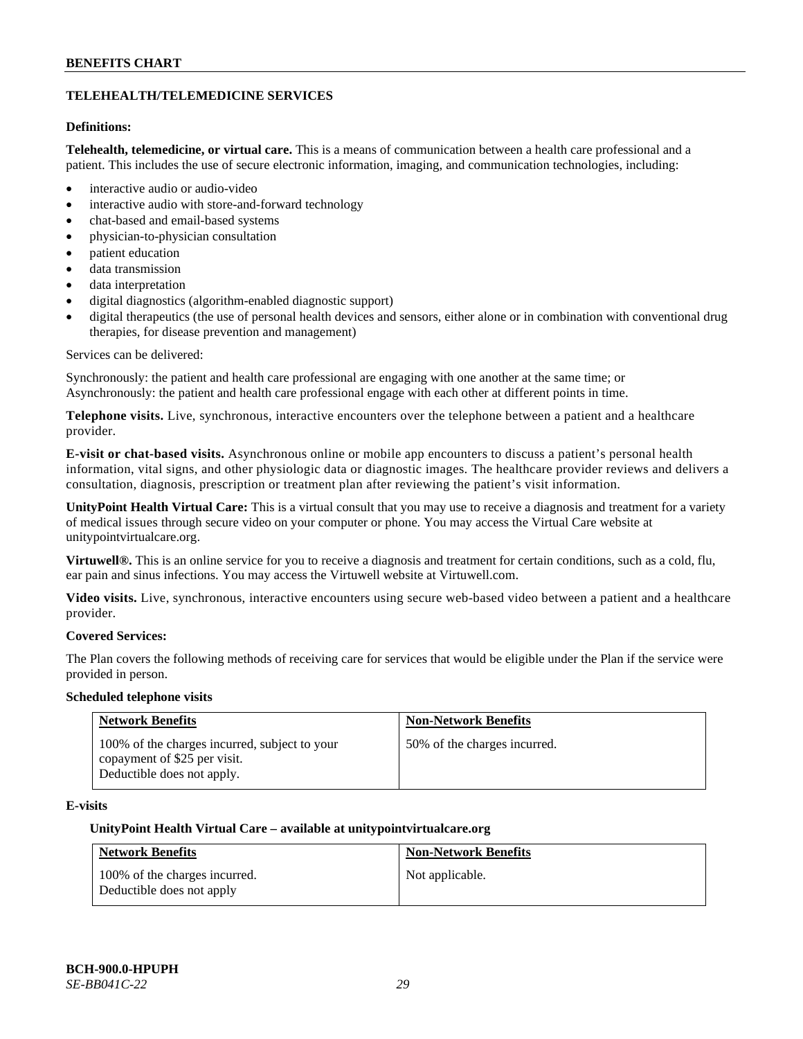# **TELEHEALTH/TELEMEDICINE SERVICES**

# **Definitions:**

**Telehealth, telemedicine, or virtual care.** This is a means of communication between a health care professional and a patient. This includes the use of secure electronic information, imaging, and communication technologies, including:

- interactive audio or audio-video
- interactive audio with store-and-forward technology
- chat-based and email-based systems
- physician-to-physician consultation
- patient education
- data transmission
- data interpretation
- digital diagnostics (algorithm-enabled diagnostic support)
- digital therapeutics (the use of personal health devices and sensors, either alone or in combination with conventional drug therapies, for disease prevention and management)

#### Services can be delivered:

Synchronously: the patient and health care professional are engaging with one another at the same time; or Asynchronously: the patient and health care professional engage with each other at different points in time.

**Telephone visits.** Live, synchronous, interactive encounters over the telephone between a patient and a healthcare provider.

**E-visit or chat-based visits.** Asynchronous online or mobile app encounters to discuss a patient's personal health information, vital signs, and other physiologic data or diagnostic images. The healthcare provider reviews and delivers a consultation, diagnosis, prescription or treatment plan after reviewing the patient's visit information.

**UnityPoint Health Virtual Care:** This is a virtual consult that you may use to receive a diagnosis and treatment for a variety of medical issues through secure video on your computer or phone. You may access the Virtual Care website at [unitypointvirtualcare.org.](https://unitypointvirtualcare.org/landing.htm)

**Virtuwell®.** This is an online service for you to receive a diagnosis and treatment for certain conditions, such as a cold, flu, ear pain and sinus infections. You may access the Virtuwell website at [Virtuwell.com.](https://www.virtuwell.com/)

**Video visits.** Live, synchronous, interactive encounters using secure web-based video between a patient and a healthcare provider.

# **Covered Services:**

The Plan covers the following methods of receiving care for services that would be eligible under the Plan if the service were provided in person.

#### **Scheduled telephone visits**

| <b>Network Benefits</b>                                                                                     | <b>Non-Network Benefits</b>  |
|-------------------------------------------------------------------------------------------------------------|------------------------------|
| 100% of the charges incurred, subject to your<br>copayment of \$25 per visit.<br>Deductible does not apply. | 50% of the charges incurred. |

# **E-visits**

#### **UnityPoint Health Virtual Care – available a[t unitypointvirtualcare.org](http://www.unitypointvirtualcare.org/)**

| <b>Network Benefits</b>                                    | <b>Non-Network Benefits</b> |
|------------------------------------------------------------|-----------------------------|
| 100% of the charges incurred.<br>Deductible does not apply | Not applicable.             |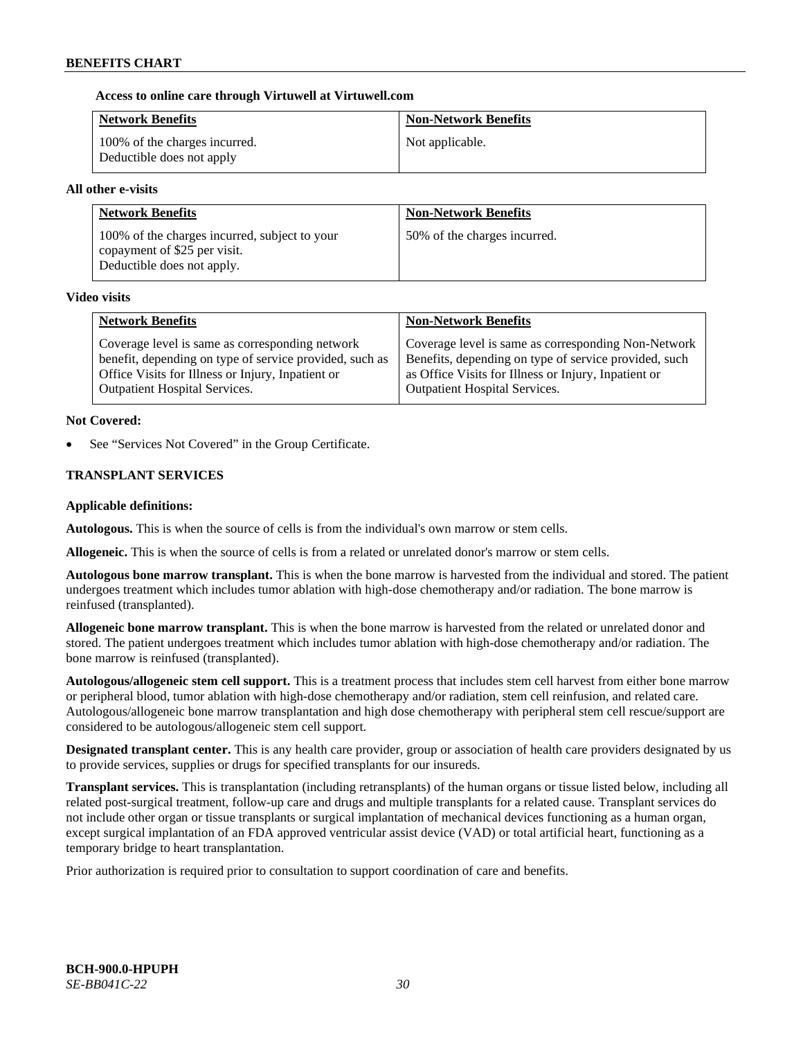### **Access to online care through Virtuwell at [Virtuwell.com](http://www.virtuwell.com/)**

| <b>Network Benefits</b>                                    | <b>Non-Network Benefits</b> |
|------------------------------------------------------------|-----------------------------|
| 100% of the charges incurred.<br>Deductible does not apply | Not applicable.             |

### **All other e-visits**

| <b>Network Benefits</b>                                                                                     | <b>Non-Network Benefits</b>  |
|-------------------------------------------------------------------------------------------------------------|------------------------------|
| 100% of the charges incurred, subject to your<br>copayment of \$25 per visit.<br>Deductible does not apply. | 50% of the charges incurred. |

#### **Video visits**

| <b>Network Benefits</b>                                 | <b>Non-Network Benefits</b>                           |
|---------------------------------------------------------|-------------------------------------------------------|
| Coverage level is same as corresponding network         | Coverage level is same as corresponding Non-Network   |
| benefit, depending on type of service provided, such as | Benefits, depending on type of service provided, such |
| Office Visits for Illness or Injury, Inpatient or       | as Office Visits for Illness or Injury, Inpatient or  |
| <b>Outpatient Hospital Services.</b>                    | <b>Outpatient Hospital Services.</b>                  |

### **Not Covered:**

See "Services Not Covered" in the Group Certificate.

# **TRANSPLANT SERVICES**

### **Applicable definitions:**

**Autologous.** This is when the source of cells is from the individual's own marrow or stem cells.

**Allogeneic.** This is when the source of cells is from a related or unrelated donor's marrow or stem cells.

**Autologous bone marrow transplant.** This is when the bone marrow is harvested from the individual and stored. The patient undergoes treatment which includes tumor ablation with high-dose chemotherapy and/or radiation. The bone marrow is reinfused (transplanted).

**Allogeneic bone marrow transplant.** This is when the bone marrow is harvested from the related or unrelated donor and stored. The patient undergoes treatment which includes tumor ablation with high-dose chemotherapy and/or radiation. The bone marrow is reinfused (transplanted).

**Autologous/allogeneic stem cell support.** This is a treatment process that includes stem cell harvest from either bone marrow or peripheral blood, tumor ablation with high-dose chemotherapy and/or radiation, stem cell reinfusion, and related care. Autologous/allogeneic bone marrow transplantation and high dose chemotherapy with peripheral stem cell rescue/support are considered to be autologous/allogeneic stem cell support.

**Designated transplant center.** This is any health care provider, group or association of health care providers designated by us to provide services, supplies or drugs for specified transplants for our insureds.

**Transplant services.** This is transplantation (including retransplants) of the human organs or tissue listed below, including all related post-surgical treatment, follow-up care and drugs and multiple transplants for a related cause. Transplant services do not include other organ or tissue transplants or surgical implantation of mechanical devices functioning as a human organ, except surgical implantation of an FDA approved ventricular assist device (VAD) or total artificial heart, functioning as a temporary bridge to heart transplantation.

Prior authorization is required prior to consultation to support coordination of care and benefits.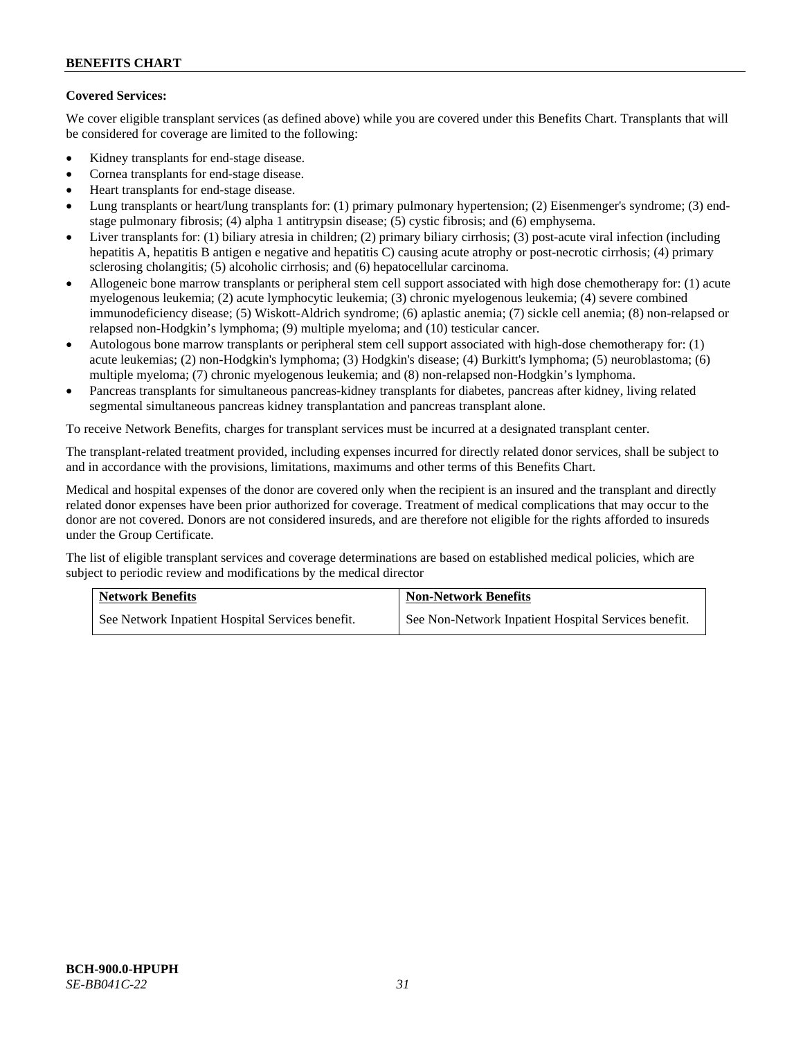# **Covered Services:**

We cover eligible transplant services (as defined above) while you are covered under this Benefits Chart. Transplants that will be considered for coverage are limited to the following:

- Kidney transplants for end-stage disease.
- Cornea transplants for end-stage disease.
- Heart transplants for end-stage disease.
- Lung transplants or heart/lung transplants for: (1) primary pulmonary hypertension; (2) Eisenmenger's syndrome; (3) endstage pulmonary fibrosis; (4) alpha 1 antitrypsin disease; (5) cystic fibrosis; and (6) emphysema.
- Liver transplants for: (1) biliary atresia in children; (2) primary biliary cirrhosis; (3) post-acute viral infection (including hepatitis A, hepatitis B antigen e negative and hepatitis C) causing acute atrophy or post-necrotic cirrhosis; (4) primary sclerosing cholangitis; (5) alcoholic cirrhosis; and (6) hepatocellular carcinoma.
- Allogeneic bone marrow transplants or peripheral stem cell support associated with high dose chemotherapy for: (1) acute myelogenous leukemia; (2) acute lymphocytic leukemia; (3) chronic myelogenous leukemia; (4) severe combined immunodeficiency disease; (5) Wiskott-Aldrich syndrome; (6) aplastic anemia; (7) sickle cell anemia; (8) non-relapsed or relapsed non-Hodgkin's lymphoma; (9) multiple myeloma; and (10) testicular cancer.
- Autologous bone marrow transplants or peripheral stem cell support associated with high-dose chemotherapy for: (1) acute leukemias; (2) non-Hodgkin's lymphoma; (3) Hodgkin's disease; (4) Burkitt's lymphoma; (5) neuroblastoma; (6) multiple myeloma; (7) chronic myelogenous leukemia; and (8) non-relapsed non-Hodgkin's lymphoma.
- Pancreas transplants for simultaneous pancreas-kidney transplants for diabetes, pancreas after kidney, living related segmental simultaneous pancreas kidney transplantation and pancreas transplant alone.

To receive Network Benefits, charges for transplant services must be incurred at a designated transplant center.

The transplant-related treatment provided, including expenses incurred for directly related donor services, shall be subject to and in accordance with the provisions, limitations, maximums and other terms of this Benefits Chart.

Medical and hospital expenses of the donor are covered only when the recipient is an insured and the transplant and directly related donor expenses have been prior authorized for coverage. Treatment of medical complications that may occur to the donor are not covered. Donors are not considered insureds, and are therefore not eligible for the rights afforded to insureds under the Group Certificate.

The list of eligible transplant services and coverage determinations are based on established medical policies, which are subject to periodic review and modifications by the medical director

| <b>Network Benefits</b>                          | <b>Non-Network Benefits</b>                          |
|--------------------------------------------------|------------------------------------------------------|
| See Network Inpatient Hospital Services benefit. | See Non-Network Inpatient Hospital Services benefit. |